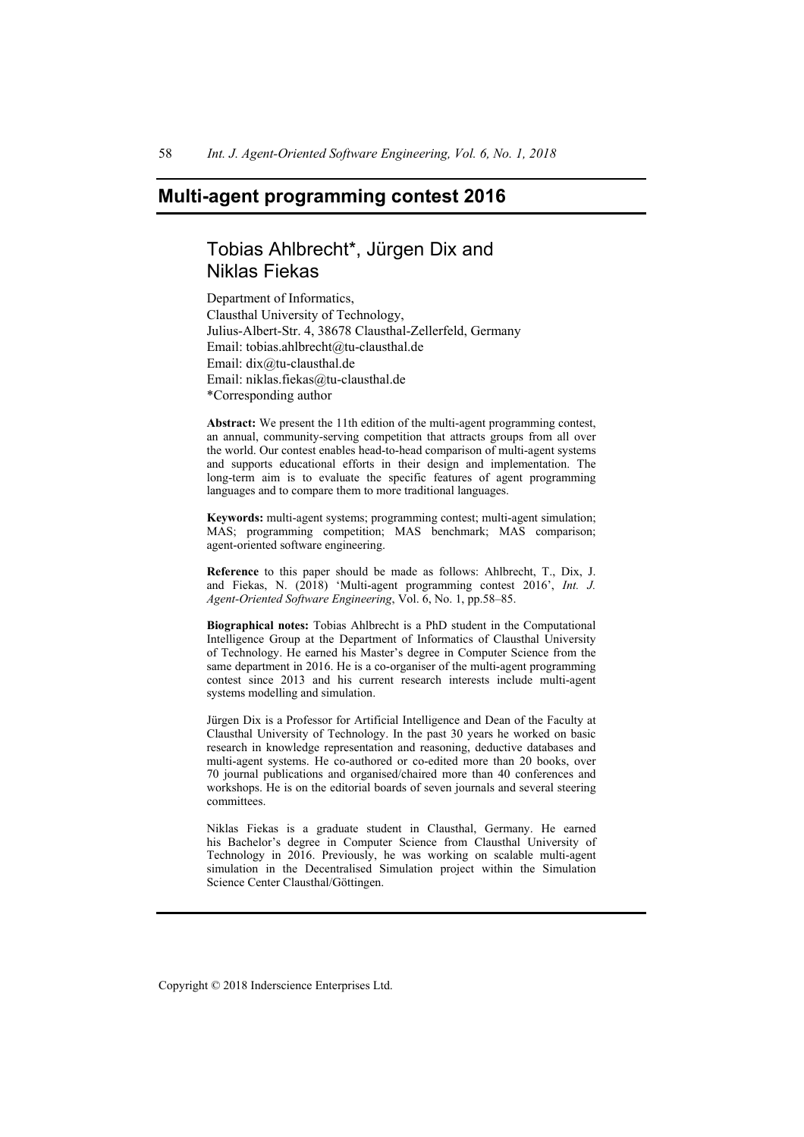## **Multi-agent programming contest 2016**

# Tobias Ahlbrecht\*, Jürgen Dix and Niklas Fiekas

Department of Informatics, Clausthal University of Technology, Julius-Albert-Str. 4, 38678 Clausthal-Zellerfeld, Germany Email: tobias.ahlbrecht@tu-clausthal.de Email: dix@tu-clausthal.de Email: niklas.fiekas@tu-clausthal.de \*Corresponding author

**Abstract:** We present the 11th edition of the multi-agent programming contest, an annual, community-serving competition that attracts groups from all over the world. Our contest enables head-to-head comparison of multi-agent systems and supports educational efforts in their design and implementation. The long-term aim is to evaluate the specific features of agent programming languages and to compare them to more traditional languages.

**Keywords:** multi-agent systems; programming contest; multi-agent simulation; MAS; programming competition; MAS benchmark; MAS comparison; agent-oriented software engineering.

**Reference** to this paper should be made as follows: Ahlbrecht, T., Dix, J. and Fiekas, N. (2018) 'Multi-agent programming contest 2016', *Int. J. Agent-Oriented Software Engineering*, Vol. 6, No. 1, pp.58–85.

**Biographical notes:** Tobias Ahlbrecht is a PhD student in the Computational Intelligence Group at the Department of Informatics of Clausthal University of Technology. He earned his Master's degree in Computer Science from the same department in 2016. He is a co-organiser of the multi-agent programming contest since 2013 and his current research interests include multi-agent systems modelling and simulation.

Jürgen Dix is a Professor for Artificial Intelligence and Dean of the Faculty at Clausthal University of Technology. In the past 30 years he worked on basic research in knowledge representation and reasoning, deductive databases and multi-agent systems. He co-authored or co-edited more than 20 books, over 70 journal publications and organised/chaired more than 40 conferences and workshops. He is on the editorial boards of seven journals and several steering committees.

Niklas Fiekas is a graduate student in Clausthal, Germany. He earned his Bachelor's degree in Computer Science from Clausthal University of Technology in 2016. Previously, he was working on scalable multi-agent simulation in the Decentralised Simulation project within the Simulation Science Center Clausthal/Göttingen.

Copyright © 2018 Inderscience Enterprises Ltd.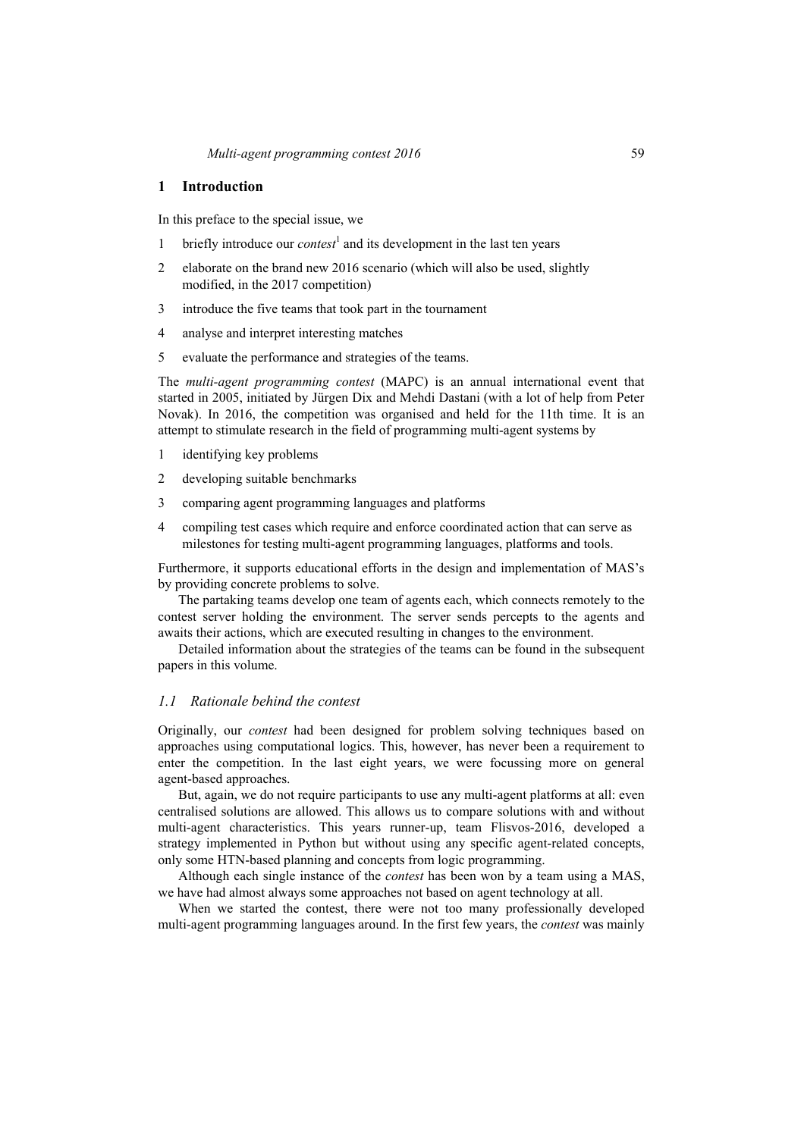#### *Multi-agent programming contest 2016* 59

### **1 Introduction**

In this preface to the special issue, we

- 1 briefly introduce our *contest*<sup>1</sup> and its development in the last ten years
- 2 elaborate on the brand new 2016 scenario (which will also be used, slightly modified, in the 2017 competition)
- 3 introduce the five teams that took part in the tournament
- 4 analyse and interpret interesting matches
- 5 evaluate the performance and strategies of the teams.

The *multi-agent programming contest* (MAPC) is an annual international event that started in 2005, initiated by Jürgen Dix and Mehdi Dastani (with a lot of help from Peter Novak). In 2016, the competition was organised and held for the 11th time. It is an attempt to stimulate research in the field of programming multi-agent systems by

- 1 identifying key problems
- 2 developing suitable benchmarks
- 3 comparing agent programming languages and platforms
- 4 compiling test cases which require and enforce coordinated action that can serve as milestones for testing multi-agent programming languages, platforms and tools.

Furthermore, it supports educational efforts in the design and implementation of MAS's by providing concrete problems to solve.

The partaking teams develop one team of agents each, which connects remotely to the contest server holding the environment. The server sends percepts to the agents and awaits their actions, which are executed resulting in changes to the environment.

Detailed information about the strategies of the teams can be found in the subsequent papers in this volume.

### *1.1 Rationale behind the contest*

Originally, our *contest* had been designed for problem solving techniques based on approaches using computational logics. This, however, has never been a requirement to enter the competition. In the last eight years, we were focussing more on general agent-based approaches.

But, again, we do not require participants to use any multi-agent platforms at all: even centralised solutions are allowed. This allows us to compare solutions with and without multi-agent characteristics. This years runner-up, team Flisvos-2016, developed a strategy implemented in Python but without using any specific agent-related concepts, only some HTN-based planning and concepts from logic programming.

Although each single instance of the *contest* has been won by a team using a MAS, we have had almost always some approaches not based on agent technology at all.

When we started the contest, there were not too many professionally developed multi-agent programming languages around. In the first few years, the *contest* was mainly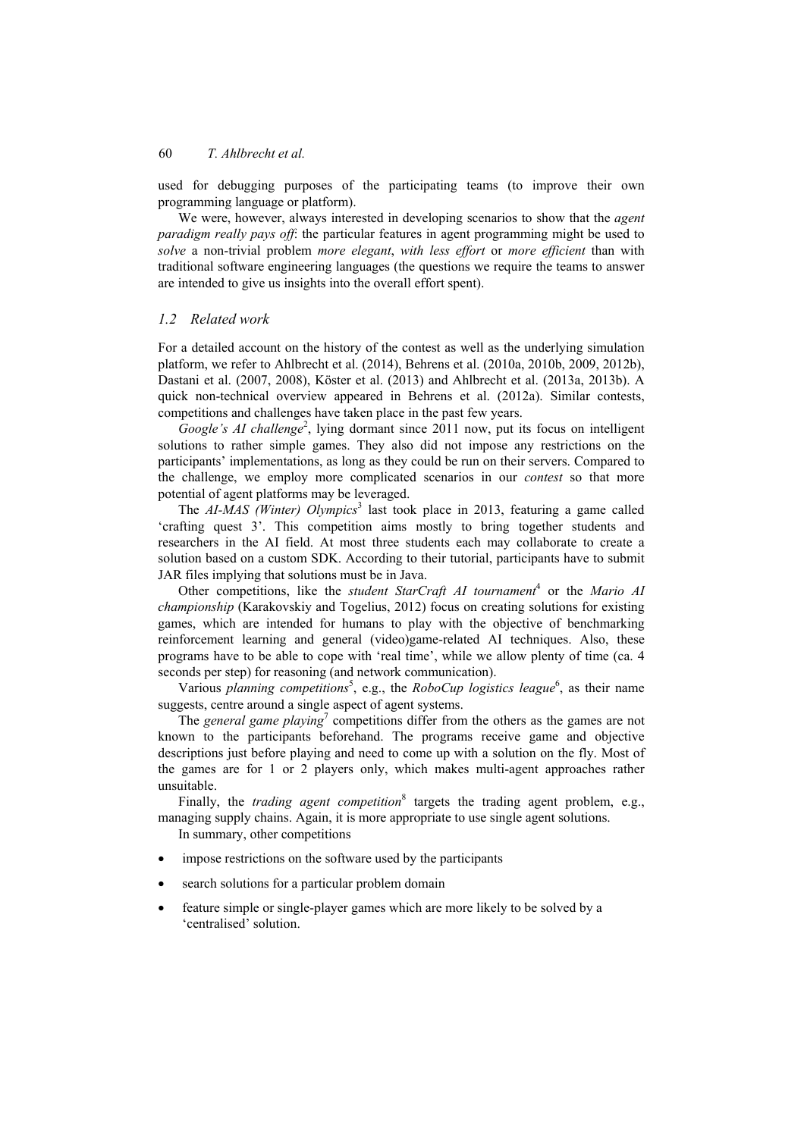used for debugging purposes of the participating teams (to improve their own programming language or platform).

We were, however, always interested in developing scenarios to show that the *agent paradigm really pays off*: the particular features in agent programming might be used to *solve* a non-trivial problem *more elegant*, *with less effort* or *more efficient* than with traditional software engineering languages (the questions we require the teams to answer are intended to give us insights into the overall effort spent).

#### *1.2 Related work*

For a detailed account on the history of the contest as well as the underlying simulation platform, we refer to Ahlbrecht et al. (2014), Behrens et al. (2010a, 2010b, 2009, 2012b), Dastani et al. (2007, 2008), Köster et al. (2013) and Ahlbrecht et al. (2013a, 2013b). A quick non-technical overview appeared in Behrens et al. (2012a). Similar contests, competitions and challenges have taken place in the past few years.

Google's AI challenge<sup>2</sup>, lying dormant since 2011 now, put its focus on intelligent solutions to rather simple games. They also did not impose any restrictions on the participants' implementations, as long as they could be run on their servers. Compared to the challenge, we employ more complicated scenarios in our *contest* so that more potential of agent platforms may be leveraged.

The AI-MAS (Winter) Olympics<sup>3</sup> last took place in 2013, featuring a game called 'crafting quest 3'. This competition aims mostly to bring together students and researchers in the AI field. At most three students each may collaborate to create a solution based on a custom SDK. According to their tutorial, participants have to submit JAR files implying that solutions must be in Java.

Other competitions, like the *student StarCraft AI tournament*<sup>4</sup> or the *Mario AI championship* (Karakovskiy and Togelius, 2012) focus on creating solutions for existing games, which are intended for humans to play with the objective of benchmarking reinforcement learning and general (video)game-related AI techniques. Also, these programs have to be able to cope with 'real time', while we allow plenty of time (ca. 4 seconds per step) for reasoning (and network communication).

Various *planning competitions*<sup>5</sup>, e.g., the *RoboCup logistics league*<sup>6</sup>, as their name suggests, centre around a single aspect of agent systems.

The *general game playing*<sup>7</sup> competitions differ from the others as the games are not known to the participants beforehand. The programs receive game and objective descriptions just before playing and need to come up with a solution on the fly. Most of the games are for 1 or 2 players only, which makes multi-agent approaches rather unsuitable.

Finally, the *trading agent competition*<sup>8</sup> targets the trading agent problem, e.g., managing supply chains. Again, it is more appropriate to use single agent solutions.

In summary, other competitions

- impose restrictions on the software used by the participants
- search solutions for a particular problem domain
- feature simple or single-player games which are more likely to be solved by a 'centralised' solution.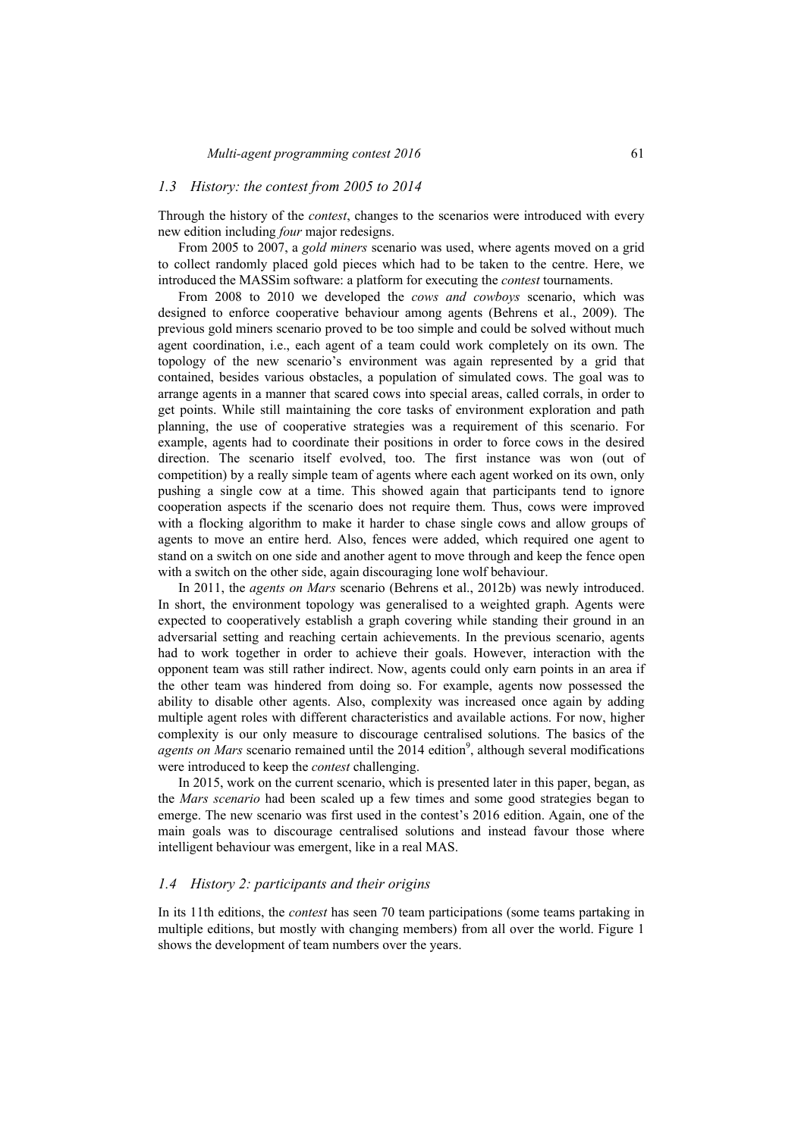### *1.3 History: the contest from 2005 to 2014*

Through the history of the *contest*, changes to the scenarios were introduced with every new edition including *four* major redesigns.

From 2005 to 2007, a *gold miners* scenario was used, where agents moved on a grid to collect randomly placed gold pieces which had to be taken to the centre. Here, we introduced the MASSim software: a platform for executing the *contest* tournaments.

From 2008 to 2010 we developed the *cows and cowboys* scenario, which was designed to enforce cooperative behaviour among agents (Behrens et al., 2009). The previous gold miners scenario proved to be too simple and could be solved without much agent coordination, i.e., each agent of a team could work completely on its own. The topology of the new scenario's environment was again represented by a grid that contained, besides various obstacles, a population of simulated cows. The goal was to arrange agents in a manner that scared cows into special areas, called corrals, in order to get points. While still maintaining the core tasks of environment exploration and path planning, the use of cooperative strategies was a requirement of this scenario. For example, agents had to coordinate their positions in order to force cows in the desired direction. The scenario itself evolved, too. The first instance was won (out of competition) by a really simple team of agents where each agent worked on its own, only pushing a single cow at a time. This showed again that participants tend to ignore cooperation aspects if the scenario does not require them. Thus, cows were improved with a flocking algorithm to make it harder to chase single cows and allow groups of agents to move an entire herd. Also, fences were added, which required one agent to stand on a switch on one side and another agent to move through and keep the fence open with a switch on the other side, again discouraging lone wolf behaviour.

In 2011, the *agents on Mars* scenario (Behrens et al., 2012b) was newly introduced. In short, the environment topology was generalised to a weighted graph. Agents were expected to cooperatively establish a graph covering while standing their ground in an adversarial setting and reaching certain achievements. In the previous scenario, agents had to work together in order to achieve their goals. However, interaction with the opponent team was still rather indirect. Now, agents could only earn points in an area if the other team was hindered from doing so. For example, agents now possessed the ability to disable other agents. Also, complexity was increased once again by adding multiple agent roles with different characteristics and available actions. For now, higher complexity is our only measure to discourage centralised solutions. The basics of the agents on Mars scenario remained until the 2014 edition<sup>9</sup>, although several modifications were introduced to keep the *contest* challenging.

In 2015, work on the current scenario, which is presented later in this paper, began, as the *Mars scenario* had been scaled up a few times and some good strategies began to emerge. The new scenario was first used in the contest's 2016 edition. Again, one of the main goals was to discourage centralised solutions and instead favour those where intelligent behaviour was emergent, like in a real MAS.

### *1.4 History 2: participants and their origins*

In its 11th editions, the *contest* has seen 70 team participations (some teams partaking in multiple editions, but mostly with changing members) from all over the world. Figure 1 shows the development of team numbers over the years.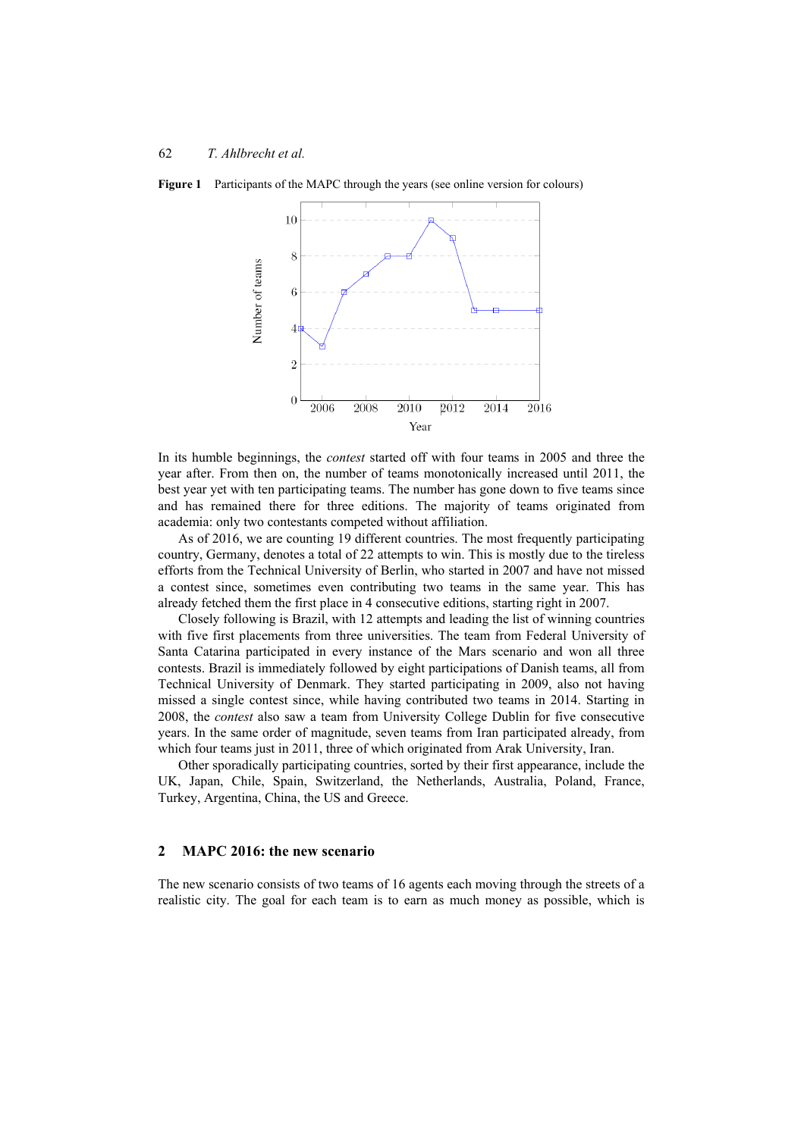

Figure 1 Participants of the MAPC through the years (see online version for colours)

In its humble beginnings, the *contest* started off with four teams in 2005 and three the year after. From then on, the number of teams monotonically increased until 2011, the best year yet with ten participating teams. The number has gone down to five teams since and has remained there for three editions. The majority of teams originated from academia: only two contestants competed without affiliation.

As of 2016, we are counting 19 different countries. The most frequently participating country, Germany, denotes a total of 22 attempts to win. This is mostly due to the tireless efforts from the Technical University of Berlin, who started in 2007 and have not missed a contest since, sometimes even contributing two teams in the same year. This has already fetched them the first place in 4 consecutive editions, starting right in 2007.

Closely following is Brazil, with 12 attempts and leading the list of winning countries with five first placements from three universities. The team from Federal University of Santa Catarina participated in every instance of the Mars scenario and won all three contests. Brazil is immediately followed by eight participations of Danish teams, all from Technical University of Denmark. They started participating in 2009, also not having missed a single contest since, while having contributed two teams in 2014. Starting in 2008, the *contest* also saw a team from University College Dublin for five consecutive years. In the same order of magnitude, seven teams from Iran participated already, from which four teams just in 2011, three of which originated from Arak University, Iran.

Other sporadically participating countries, sorted by their first appearance, include the UK, Japan, Chile, Spain, Switzerland, the Netherlands, Australia, Poland, France, Turkey, Argentina, China, the US and Greece.

### **2 MAPC 2016: the new scenario**

The new scenario consists of two teams of 16 agents each moving through the streets of a realistic city. The goal for each team is to earn as much money as possible, which is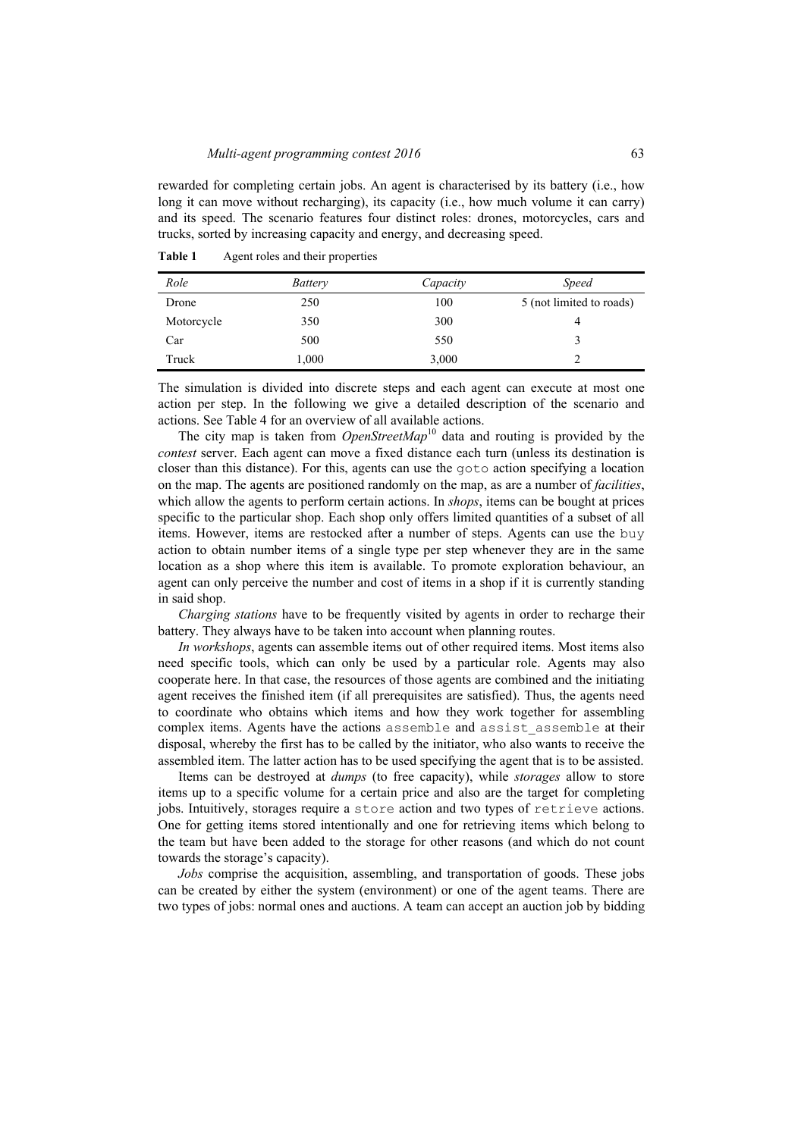rewarded for completing certain jobs. An agent is characterised by its battery (i.e., how long it can move without recharging), its capacity (i.e., how much volume it can carry) and its speed. The scenario features four distinct roles: drones, motorcycles, cars and trucks, sorted by increasing capacity and energy, and decreasing speed.

**Table 1** Agent roles and their properties

| Role       | Battery | Capacity | <b>Speed</b>             |  |
|------------|---------|----------|--------------------------|--|
| Drone      | 250     | 100      | 5 (not limited to roads) |  |
| Motorcycle | 350     | 300      | 4                        |  |
| Car        | 500     | 550      |                          |  |
| Truck      | 1,000   | 3,000    |                          |  |

The simulation is divided into discrete steps and each agent can execute at most one action per step. In the following we give a detailed description of the scenario and actions. See Table 4 for an overview of all available actions.

The city map is taken from *OpenStreetMap*<sup>10</sup> data and routing is provided by the *contest* server. Each agent can move a fixed distance each turn (unless its destination is closer than this distance). For this, agents can use the goto action specifying a location on the map. The agents are positioned randomly on the map, as are a number of *facilities*, which allow the agents to perform certain actions. In *shops*, items can be bought at prices specific to the particular shop. Each shop only offers limited quantities of a subset of all items. However, items are restocked after a number of steps. Agents can use the buy action to obtain number items of a single type per step whenever they are in the same location as a shop where this item is available. To promote exploration behaviour, an agent can only perceive the number and cost of items in a shop if it is currently standing in said shop.

*Charging stations* have to be frequently visited by agents in order to recharge their battery. They always have to be taken into account when planning routes.

*In workshops*, agents can assemble items out of other required items. Most items also need specific tools, which can only be used by a particular role. Agents may also cooperate here. In that case, the resources of those agents are combined and the initiating agent receives the finished item (if all prerequisites are satisfied). Thus, the agents need to coordinate who obtains which items and how they work together for assembling complex items. Agents have the actions assemble and assist\_assemble at their disposal, whereby the first has to be called by the initiator, who also wants to receive the assembled item. The latter action has to be used specifying the agent that is to be assisted.

Items can be destroyed at *dumps* (to free capacity), while *storages* allow to store items up to a specific volume for a certain price and also are the target for completing jobs. Intuitively, storages require a store action and two types of retrieve actions. One for getting items stored intentionally and one for retrieving items which belong to the team but have been added to the storage for other reasons (and which do not count towards the storage's capacity).

*Jobs* comprise the acquisition, assembling, and transportation of goods. These jobs can be created by either the system (environment) or one of the agent teams. There are two types of jobs: normal ones and auctions. A team can accept an auction job by bidding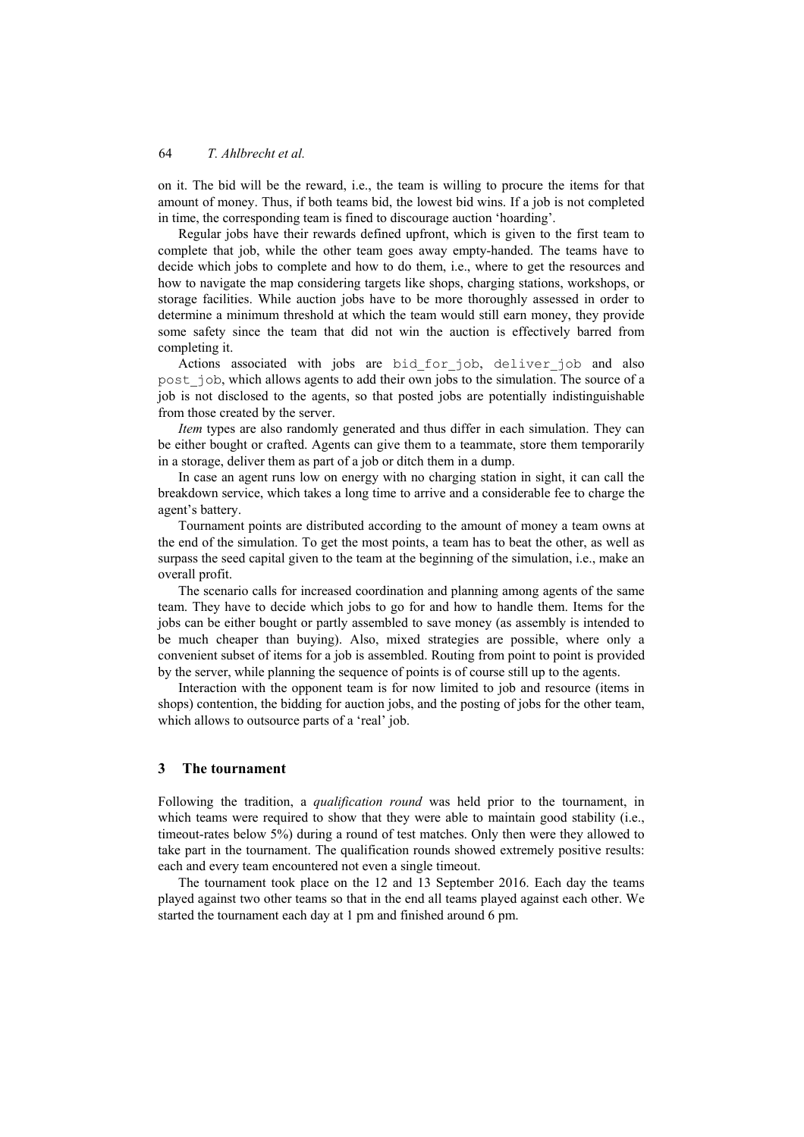on it. The bid will be the reward, i.e., the team is willing to procure the items for that amount of money. Thus, if both teams bid, the lowest bid wins. If a job is not completed in time, the corresponding team is fined to discourage auction 'hoarding'.

Regular jobs have their rewards defined upfront, which is given to the first team to complete that job, while the other team goes away empty-handed. The teams have to decide which jobs to complete and how to do them, i.e., where to get the resources and how to navigate the map considering targets like shops, charging stations, workshops, or storage facilities. While auction jobs have to be more thoroughly assessed in order to determine a minimum threshold at which the team would still earn money, they provide some safety since the team that did not win the auction is effectively barred from completing it.

Actions associated with jobs are bid for job, deliver job and also post job, which allows agents to add their own jobs to the simulation. The source of a job is not disclosed to the agents, so that posted jobs are potentially indistinguishable from those created by the server.

*Item* types are also randomly generated and thus differ in each simulation. They can be either bought or crafted. Agents can give them to a teammate, store them temporarily in a storage, deliver them as part of a job or ditch them in a dump.

In case an agent runs low on energy with no charging station in sight, it can call the breakdown service, which takes a long time to arrive and a considerable fee to charge the agent's battery.

Tournament points are distributed according to the amount of money a team owns at the end of the simulation. To get the most points, a team has to beat the other, as well as surpass the seed capital given to the team at the beginning of the simulation, i.e., make an overall profit.

The scenario calls for increased coordination and planning among agents of the same team. They have to decide which jobs to go for and how to handle them. Items for the jobs can be either bought or partly assembled to save money (as assembly is intended to be much cheaper than buying). Also, mixed strategies are possible, where only a convenient subset of items for a job is assembled. Routing from point to point is provided by the server, while planning the sequence of points is of course still up to the agents.

Interaction with the opponent team is for now limited to job and resource (items in shops) contention, the bidding for auction jobs, and the posting of jobs for the other team, which allows to outsource parts of a 'real' job.

#### **3 The tournament**

Following the tradition, a *qualification round* was held prior to the tournament, in which teams were required to show that they were able to maintain good stability (i.e., timeout-rates below 5%) during a round of test matches. Only then were they allowed to take part in the tournament. The qualification rounds showed extremely positive results: each and every team encountered not even a single timeout.

The tournament took place on the 12 and 13 September 2016. Each day the teams played against two other teams so that in the end all teams played against each other. We started the tournament each day at 1 pm and finished around 6 pm.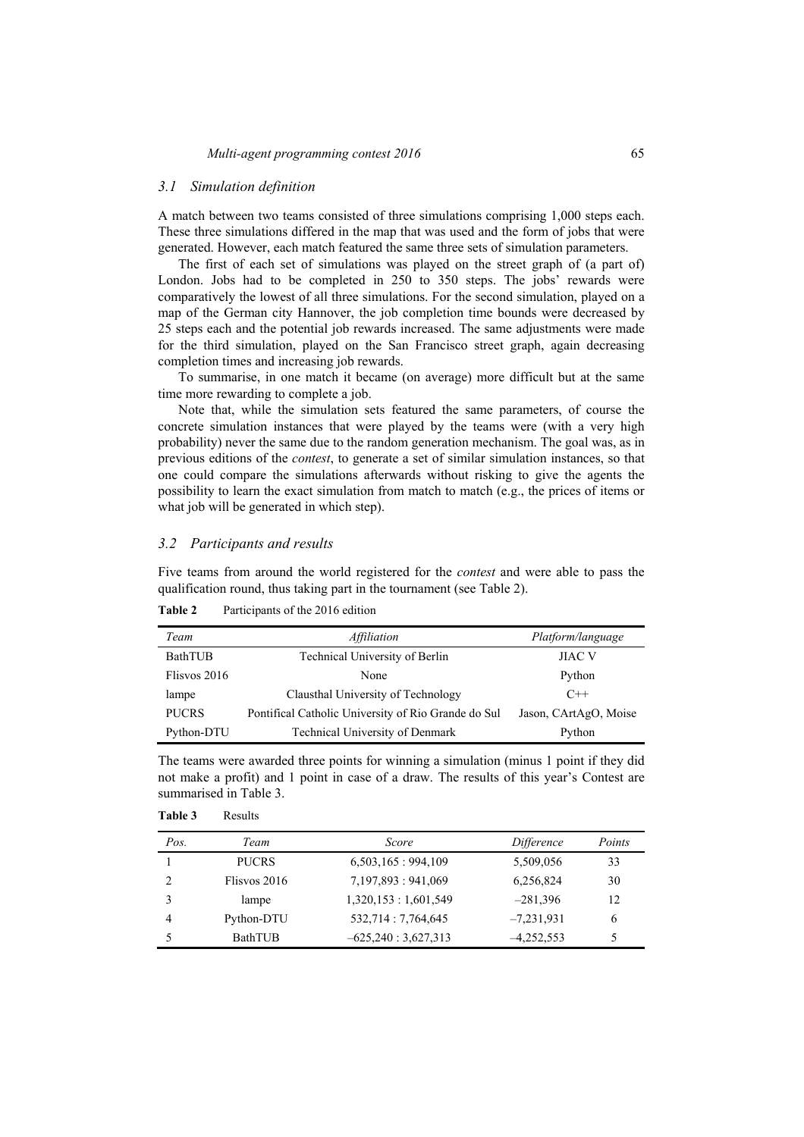#### *3.1 Simulation definition*

A match between two teams consisted of three simulations comprising 1,000 steps each. These three simulations differed in the map that was used and the form of jobs that were generated. However, each match featured the same three sets of simulation parameters.

The first of each set of simulations was played on the street graph of (a part of) London. Jobs had to be completed in 250 to 350 steps. The jobs' rewards were comparatively the lowest of all three simulations. For the second simulation, played on a map of the German city Hannover, the job completion time bounds were decreased by 25 steps each and the potential job rewards increased. The same adjustments were made for the third simulation, played on the San Francisco street graph, again decreasing completion times and increasing job rewards.

To summarise, in one match it became (on average) more difficult but at the same time more rewarding to complete a job.

Note that, while the simulation sets featured the same parameters, of course the concrete simulation instances that were played by the teams were (with a very high probability) never the same due to the random generation mechanism. The goal was, as in previous editions of the *contest*, to generate a set of similar simulation instances, so that one could compare the simulations afterwards without risking to give the agents the possibility to learn the exact simulation from match to match (e.g., the prices of items or what job will be generated in which step).

### *3.2 Participants and results*

Five teams from around the world registered for the *contest* and were able to pass the qualification round, thus taking part in the tournament (see Table 2).

| Team         | Affiliation                                         | Platform/language     |  |
|--------------|-----------------------------------------------------|-----------------------|--|
| BathTUB      | Technical University of Berlin                      | JIAC V                |  |
| Flisvos 2016 | None                                                | Python                |  |
| lampe        | Clausthal University of Technology                  | $C++$                 |  |
| <b>PUCRS</b> | Pontifical Catholic University of Rio Grande do Sul | Jason, CArtAgO, Moise |  |
| Python-DTU   | Technical University of Denmark                     | Python                |  |

**Table 2** Participants of the 2016 edition

The teams were awarded three points for winning a simulation (minus 1 point if they did not make a profit) and 1 point in case of a draw. The results of this year's Contest are summarised in Table 3.

| Pos. | Team           | Score                | Difference   | Points |
|------|----------------|----------------------|--------------|--------|
|      | <b>PUCRS</b>   | 6,503,165:994,109    | 5,509,056    | 33     |
|      | Flisvos 2016   | 7,197,893 : 941,069  | 6,256,824    | 30     |
|      | lampe          | 1,320,153:1,601,549  | $-281,396$   | 12     |
| 4    | Python-DTU     | 532,714: 7,764,645   | $-7,231,931$ | 6      |
|      | <b>BathTUB</b> | $-625,240:3,627,313$ | $-4,252,553$ | 5      |

**Table 3** Results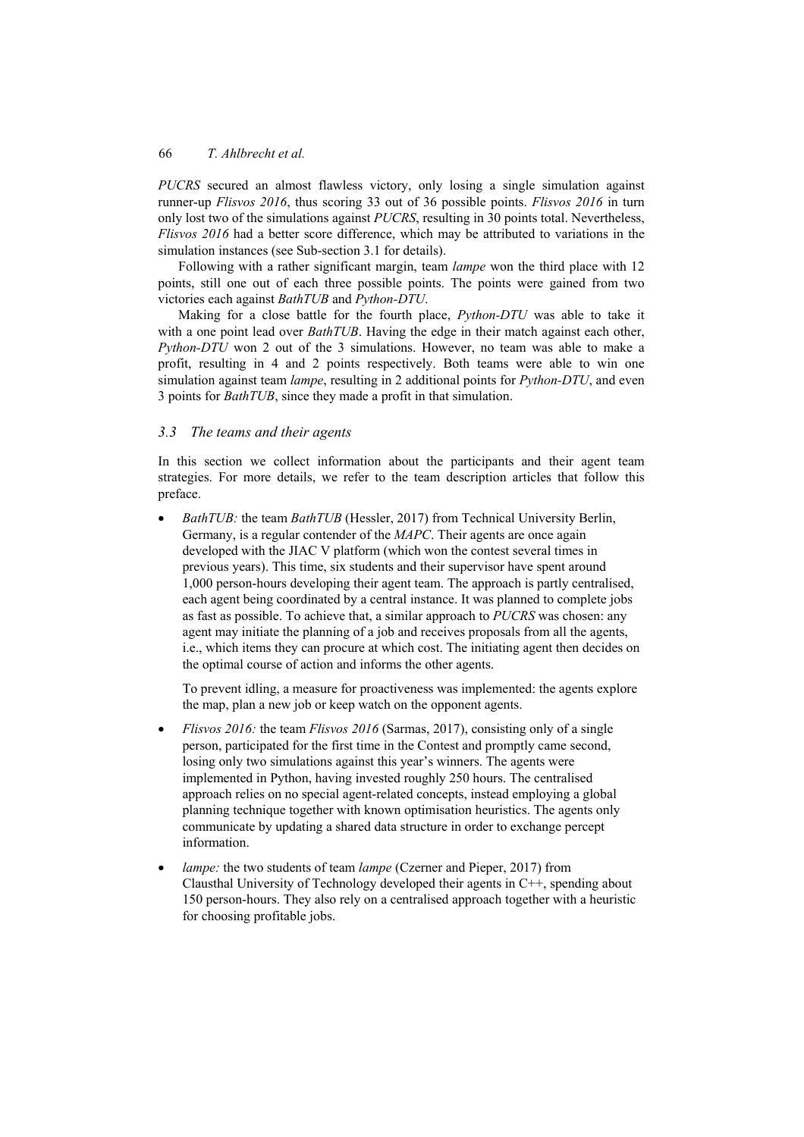*PUCRS* secured an almost flawless victory, only losing a single simulation against runner-up *Flisvos 2016*, thus scoring 33 out of 36 possible points. *Flisvos 2016* in turn only lost two of the simulations against *PUCRS*, resulting in 30 points total. Nevertheless, *Flisvos 2016* had a better score difference, which may be attributed to variations in the simulation instances (see Sub-section 3.1 for details).

Following with a rather significant margin, team *lampe* won the third place with 12 points, still one out of each three possible points. The points were gained from two victories each against *BathTUB* and *Python-DTU*.

Making for a close battle for the fourth place, *Python-DTU* was able to take it with a one point lead over *BathTUB*. Having the edge in their match against each other, *Python-DTU* won 2 out of the 3 simulations. However, no team was able to make a profit, resulting in 4 and 2 points respectively. Both teams were able to win one simulation against team *lampe*, resulting in 2 additional points for *Python-DTU*, and even 3 points for *BathTUB*, since they made a profit in that simulation.

### *3.3 The teams and their agents*

In this section we collect information about the participants and their agent team strategies. For more details, we refer to the team description articles that follow this preface.

• *BathTUB:* the team *BathTUB* (Hessler, 2017) from Technical University Berlin, Germany, is a regular contender of the *MAPC*. Their agents are once again developed with the JIAC V platform (which won the contest several times in previous years). This time, six students and their supervisor have spent around 1,000 person-hours developing their agent team. The approach is partly centralised, each agent being coordinated by a central instance. It was planned to complete jobs as fast as possible. To achieve that, a similar approach to *PUCRS* was chosen: any agent may initiate the planning of a job and receives proposals from all the agents, i.e., which items they can procure at which cost. The initiating agent then decides on the optimal course of action and informs the other agents.

To prevent idling, a measure for proactiveness was implemented: the agents explore the map, plan a new job or keep watch on the opponent agents.

- *Flisvos 2016:* the team *Flisvos 2016* (Sarmas, 2017), consisting only of a single person, participated for the first time in the Contest and promptly came second, losing only two simulations against this year's winners. The agents were implemented in Python, having invested roughly 250 hours. The centralised approach relies on no special agent-related concepts, instead employing a global planning technique together with known optimisation heuristics. The agents only communicate by updating a shared data structure in order to exchange percept information.
- *lampe:* the two students of team *lampe* (Czerner and Pieper, 2017) from Clausthal University of Technology developed their agents in C++, spending about 150 person-hours. They also rely on a centralised approach together with a heuristic for choosing profitable jobs.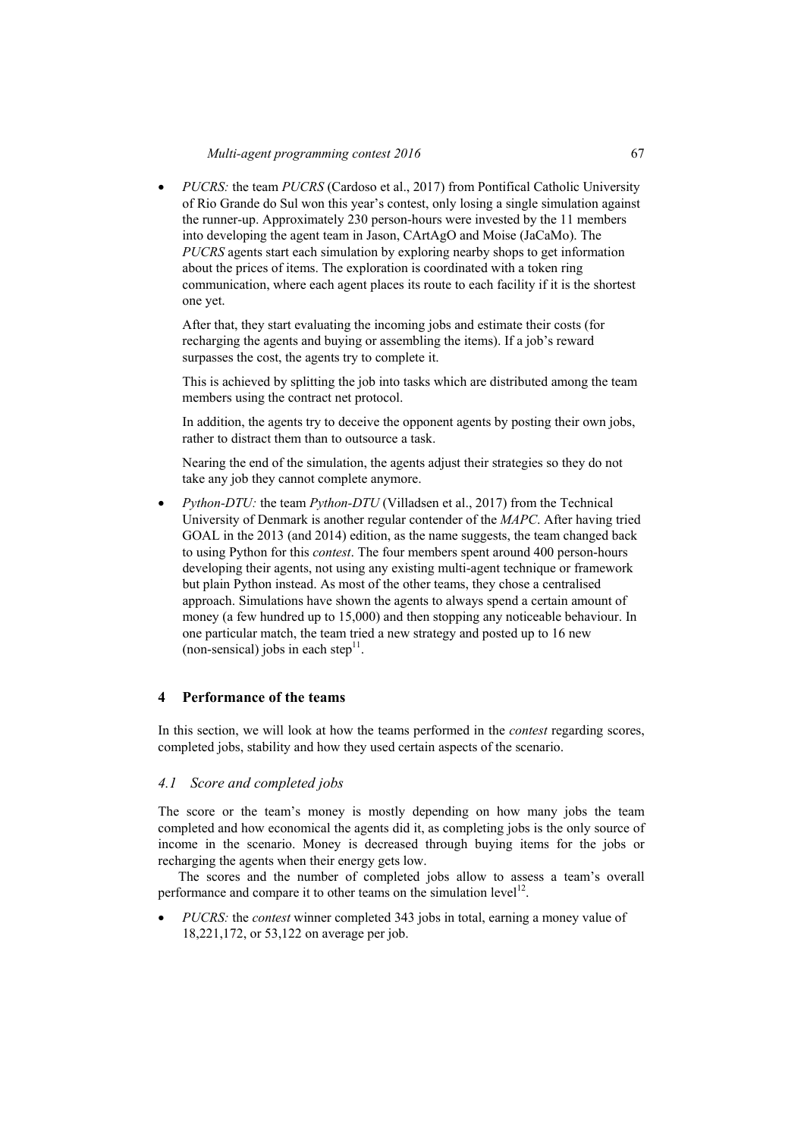• *PUCRS:* the team *PUCRS* (Cardoso et al., 2017) from Pontifical Catholic University of Rio Grande do Sul won this year's contest, only losing a single simulation against the runner-up. Approximately 230 person-hours were invested by the 11 members into developing the agent team in Jason, CArtAgO and Moise (JaCaMo). The *PUCRS* agents start each simulation by exploring nearby shops to get information about the prices of items. The exploration is coordinated with a token ring communication, where each agent places its route to each facility if it is the shortest one yet.

After that, they start evaluating the incoming jobs and estimate their costs (for recharging the agents and buying or assembling the items). If a job's reward surpasses the cost, the agents try to complete it.

This is achieved by splitting the job into tasks which are distributed among the team members using the contract net protocol.

In addition, the agents try to deceive the opponent agents by posting their own jobs, rather to distract them than to outsource a task.

Nearing the end of the simulation, the agents adjust their strategies so they do not take any job they cannot complete anymore.

• *Python-DTU:* the team *Python-DTU* (Villadsen et al., 2017) from the Technical University of Denmark is another regular contender of the *MAPC*. After having tried GOAL in the 2013 (and 2014) edition, as the name suggests, the team changed back to using Python for this *contest*. The four members spent around 400 person-hours developing their agents, not using any existing multi-agent technique or framework but plain Python instead. As most of the other teams, they chose a centralised approach. Simulations have shown the agents to always spend a certain amount of money (a few hundred up to 15,000) and then stopping any noticeable behaviour. In one particular match, the team tried a new strategy and posted up to 16 new (non-sensical) jobs in each step<sup>11</sup>.

### **4 Performance of the teams**

In this section, we will look at how the teams performed in the *contest* regarding scores, completed jobs, stability and how they used certain aspects of the scenario.

#### *4.1 Score and completed jobs*

The score or the team's money is mostly depending on how many jobs the team completed and how economical the agents did it, as completing jobs is the only source of income in the scenario. Money is decreased through buying items for the jobs or recharging the agents when their energy gets low.

The scores and the number of completed jobs allow to assess a team's overall performance and compare it to other teams on the simulation level<sup>12</sup>.

• *PUCRS:* the *contest* winner completed 343 jobs in total, earning a money value of 18,221,172, or 53,122 on average per job.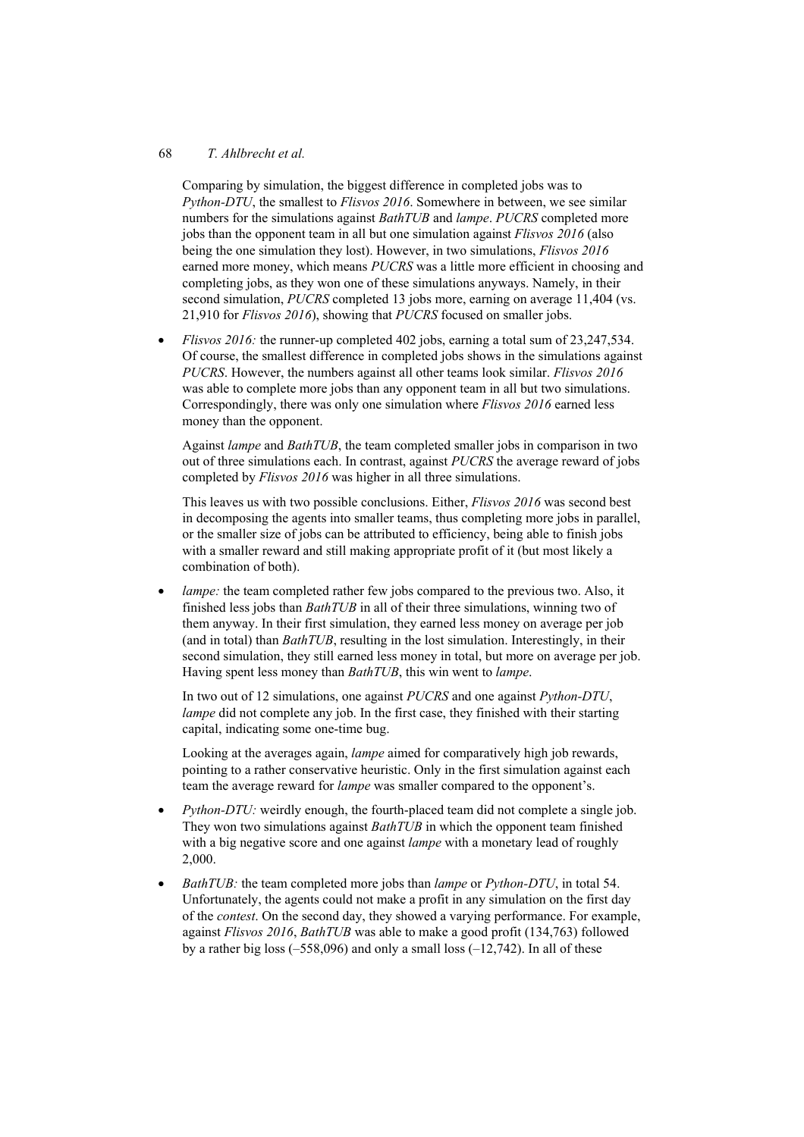Comparing by simulation, the biggest difference in completed jobs was to *Python-DTU*, the smallest to *Flisvos 2016*. Somewhere in between, we see similar numbers for the simulations against *BathTUB* and *lampe*. *PUCRS* completed more jobs than the opponent team in all but one simulation against *Flisvos 2016* (also being the one simulation they lost). However, in two simulations, *Flisvos 2016*  earned more money, which means *PUCRS* was a little more efficient in choosing and completing jobs, as they won one of these simulations anyways. Namely, in their second simulation, *PUCRS* completed 13 jobs more, earning on average 11,404 (vs. 21,910 for *Flisvos 2016*), showing that *PUCRS* focused on smaller jobs.

• *Flisvos 2016:* the runner-up completed 402 jobs, earning a total sum of 23,247,534. Of course, the smallest difference in completed jobs shows in the simulations against *PUCRS*. However, the numbers against all other teams look similar. *Flisvos 2016*  was able to complete more jobs than any opponent team in all but two simulations. Correspondingly, there was only one simulation where *Flisvos 2016* earned less money than the opponent.

Against *lampe* and *BathTUB*, the team completed smaller jobs in comparison in two out of three simulations each. In contrast, against *PUCRS* the average reward of jobs completed by *Flisvos 2016* was higher in all three simulations.

This leaves us with two possible conclusions. Either, *Flisvos 2016* was second best in decomposing the agents into smaller teams, thus completing more jobs in parallel, or the smaller size of jobs can be attributed to efficiency, being able to finish jobs with a smaller reward and still making appropriate profit of it (but most likely a combination of both).

*lampe:* the team completed rather few jobs compared to the previous two. Also, it finished less jobs than *BathTUB* in all of their three simulations, winning two of them anyway. In their first simulation, they earned less money on average per job (and in total) than *BathTUB*, resulting in the lost simulation. Interestingly, in their second simulation, they still earned less money in total, but more on average per job. Having spent less money than *BathTUB*, this win went to *lampe*.

In two out of 12 simulations, one against *PUCRS* and one against *Python-DTU*, *lampe* did not complete any job. In the first case, they finished with their starting capital, indicating some one-time bug.

Looking at the averages again, *lampe* aimed for comparatively high job rewards, pointing to a rather conservative heuristic. Only in the first simulation against each team the average reward for *lampe* was smaller compared to the opponent's.

- *Python-DTU:* weirdly enough, the fourth-placed team did not complete a single job. They won two simulations against *BathTUB* in which the opponent team finished with a big negative score and one against *lampe* with a monetary lead of roughly 2,000.
- *BathTUB:* the team completed more jobs than *lampe* or *Python-DTU*, in total 54. Unfortunately, the agents could not make a profit in any simulation on the first day of the *contest*. On the second day, they showed a varying performance. For example, against *Flisvos 2016*, *BathTUB* was able to make a good profit (134,763) followed by a rather big loss  $(-558,096)$  and only a small loss  $(-12,742)$ . In all of these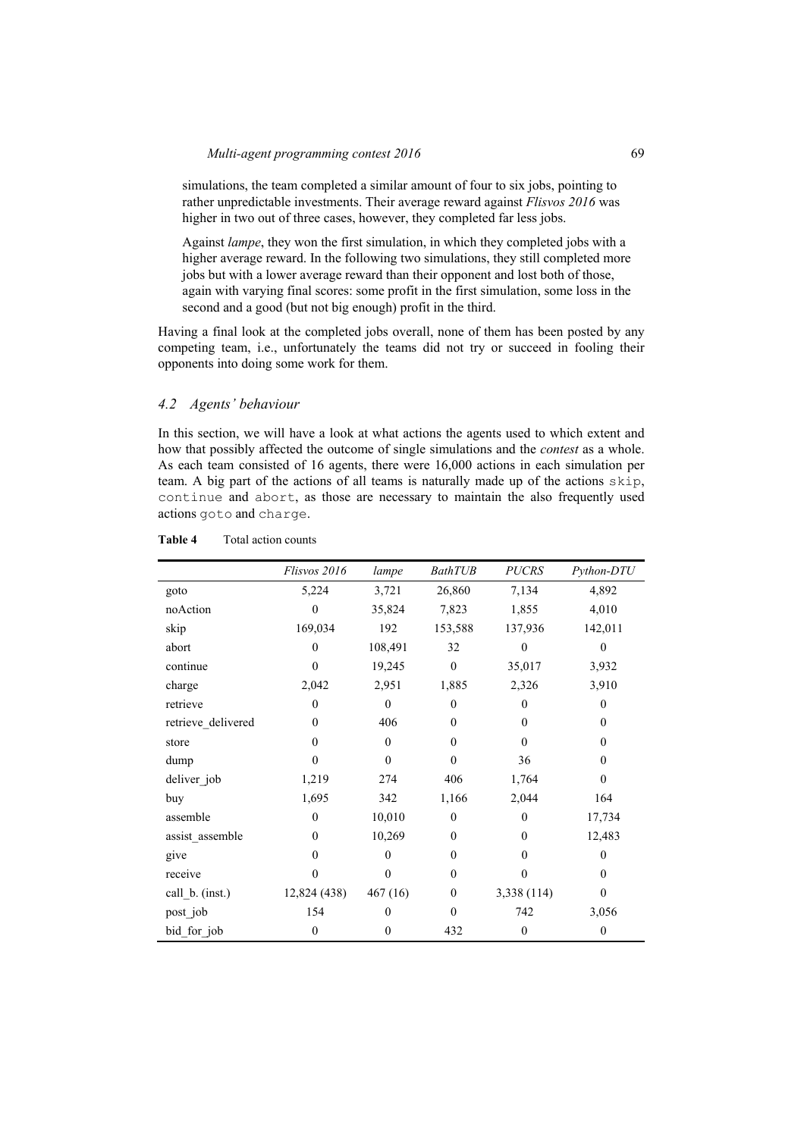simulations, the team completed a similar amount of four to six jobs, pointing to rather unpredictable investments. Their average reward against *Flisvos 2016* was higher in two out of three cases, however, they completed far less jobs.

Against *lampe*, they won the first simulation, in which they completed jobs with a higher average reward. In the following two simulations, they still completed more jobs but with a lower average reward than their opponent and lost both of those, again with varying final scores: some profit in the first simulation, some loss in the second and a good (but not big enough) profit in the third.

Having a final look at the completed jobs overall, none of them has been posted by any competing team, i.e., unfortunately the teams did not try or succeed in fooling their opponents into doing some work for them.

### *4.2 Agents' behaviour*

In this section, we will have a look at what actions the agents used to which extent and how that possibly affected the outcome of single simulations and the *contest* as a whole. As each team consisted of 16 agents, there were 16,000 actions in each simulation per team. A big part of the actions of all teams is naturally made up of the actions skip, continue and abort, as those are necessary to maintain the also frequently used actions goto and charge.

|                    | Flisvos 2016 | lampe    | <b>BathTUB</b> | <b>PUCRS</b>     | Python-DTU   |
|--------------------|--------------|----------|----------------|------------------|--------------|
| goto               | 5,224        | 3,721    | 26,860         | 7,134            | 4,892        |
| noAction           | $\mathbf{0}$ | 35,824   | 7,823          | 1,855            | 4,010        |
| skip               | 169,034      | 192      | 153,588        | 137,936          | 142,011      |
| abort              | $\theta$     | 108,491  | 32             | $\theta$         | $\theta$     |
| continue           | $\Omega$     | 19,245   | $\theta$       | 35,017           | 3,932        |
| charge             | 2,042        | 2,951    | 1,885          | 2,326            | 3,910        |
| retrieve           | $\theta$     | $\theta$ | $\theta$       | $\Omega$         | $\theta$     |
| retrieve delivered | $\theta$     | 406      | $\theta$       | $\theta$         | $\theta$     |
| store              | $\theta$     | $\theta$ | $\theta$       | $\theta$         | $\theta$     |
| dump               | $\theta$     | $\Omega$ | $\theta$       | 36               | $\mathbf{0}$ |
| deliver job        | 1,219        | 274      | 406            | 1,764            | $\theta$     |
| buy                | 1,695        | 342      | 1,166          | 2,044            | 164          |
| assemble           | $\mathbf{0}$ | 10,010   | $\theta$       | $\boldsymbol{0}$ | 17,734       |
| assist assemble    | $\theta$     | 10,269   | $\theta$       | $\theta$         | 12,483       |
| give               | $\Omega$     | $\theta$ | $\theta$       | 0                | $\theta$     |
| receive            | $\theta$     | $\theta$ | $\theta$       | $\Omega$         | $\theta$     |
| call b. (inst.)    | 12,824 (438) | 467(16)  | $\mathbf{0}$   | 3,338 (114)      | $\mathbf{0}$ |
| post_job           | 154          | $\Omega$ | $\theta$       | 742              | 3,056        |
| bid for job        | $\mathbf{0}$ | $\theta$ | 432            | $\theta$         | $\mathbf{0}$ |

### **Table 4** Total action counts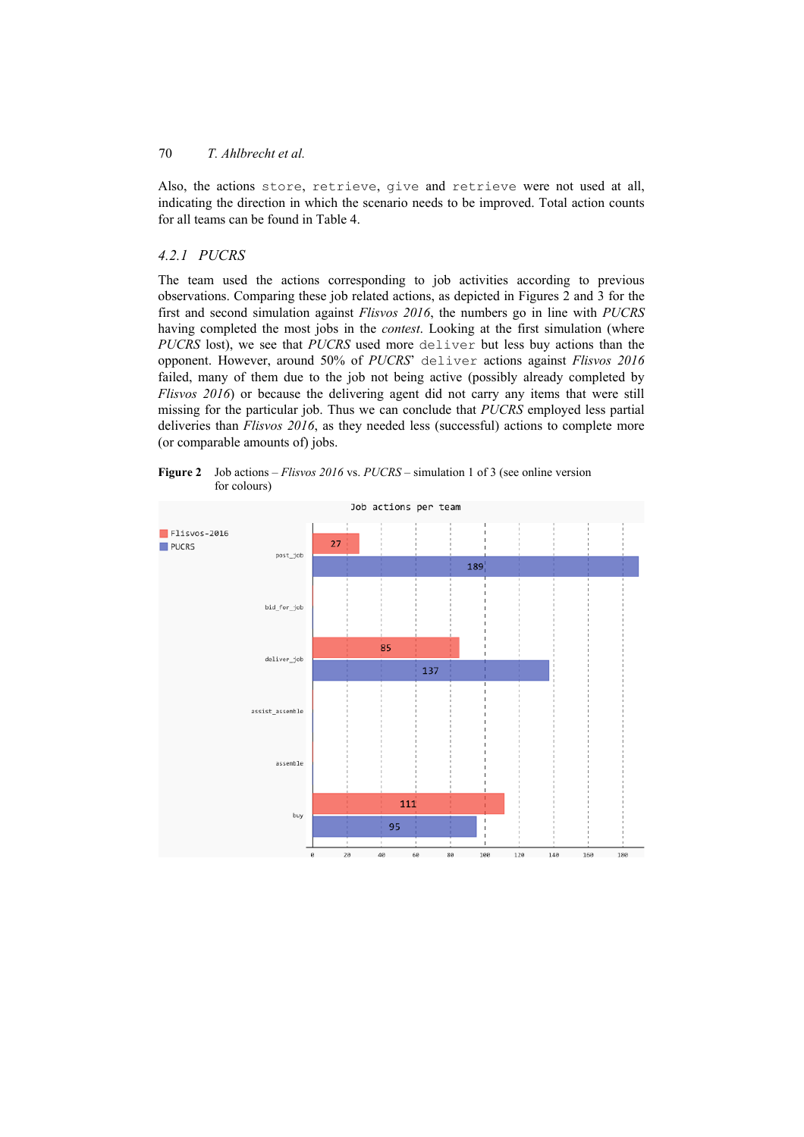Also, the actions store, retrieve, give and retrieve were not used at all, indicating the direction in which the scenario needs to be improved. Total action counts for all teams can be found in Table 4.

#### *4.2.1 PUCRS*

The team used the actions corresponding to job activities according to previous observations. Comparing these job related actions, as depicted in Figures 2 and 3 for the first and second simulation against *Flisvos 2016*, the numbers go in line with *PUCRS*  having completed the most jobs in the *contest*. Looking at the first simulation (where *PUCRS* lost), we see that *PUCRS* used more deliver but less buy actions than the opponent. However, around 50% of *PUCRS*' deliver actions against *Flisvos 2016*  failed, many of them due to the job not being active (possibly already completed by *Flisvos 2016*) or because the delivering agent did not carry any items that were still missing for the particular job. Thus we can conclude that *PUCRS* employed less partial deliveries than *Flisvos 2016*, as they needed less (successful) actions to complete more (or comparable amounts of) jobs.



**Figure 2** Job actions – *Flisvos 2016* vs. *PUCRS* – simulation 1 of 3 (see online version for colours)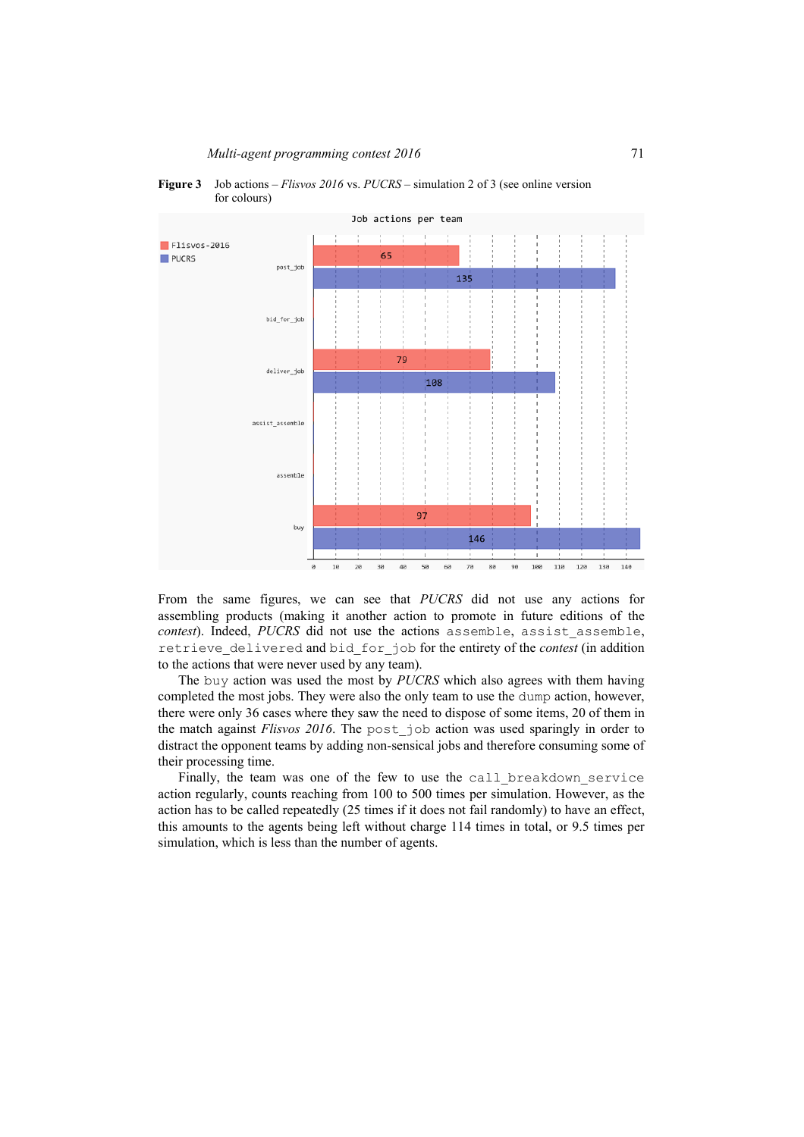



From the same figures, we can see that *PUCRS* did not use any actions for assembling products (making it another action to promote in future editions of the *contest*). Indeed, *PUCRS* did not use the actions assemble, assist\_assemble, retrieve\_delivered and bid\_for\_job for the entirety of the *contest* (in addition to the actions that were never used by any team).

The buy action was used the most by *PUCRS* which also agrees with them having completed the most jobs. They were also the only team to use the dump action, however, there were only 36 cases where they saw the need to dispose of some items, 20 of them in the match against *Flisvos 2016*. The post\_job action was used sparingly in order to distract the opponent teams by adding non-sensical jobs and therefore consuming some of their processing time.

Finally, the team was one of the few to use the call breakdown service action regularly, counts reaching from 100 to 500 times per simulation. However, as the action has to be called repeatedly (25 times if it does not fail randomly) to have an effect, this amounts to the agents being left without charge 114 times in total, or 9.5 times per simulation, which is less than the number of agents.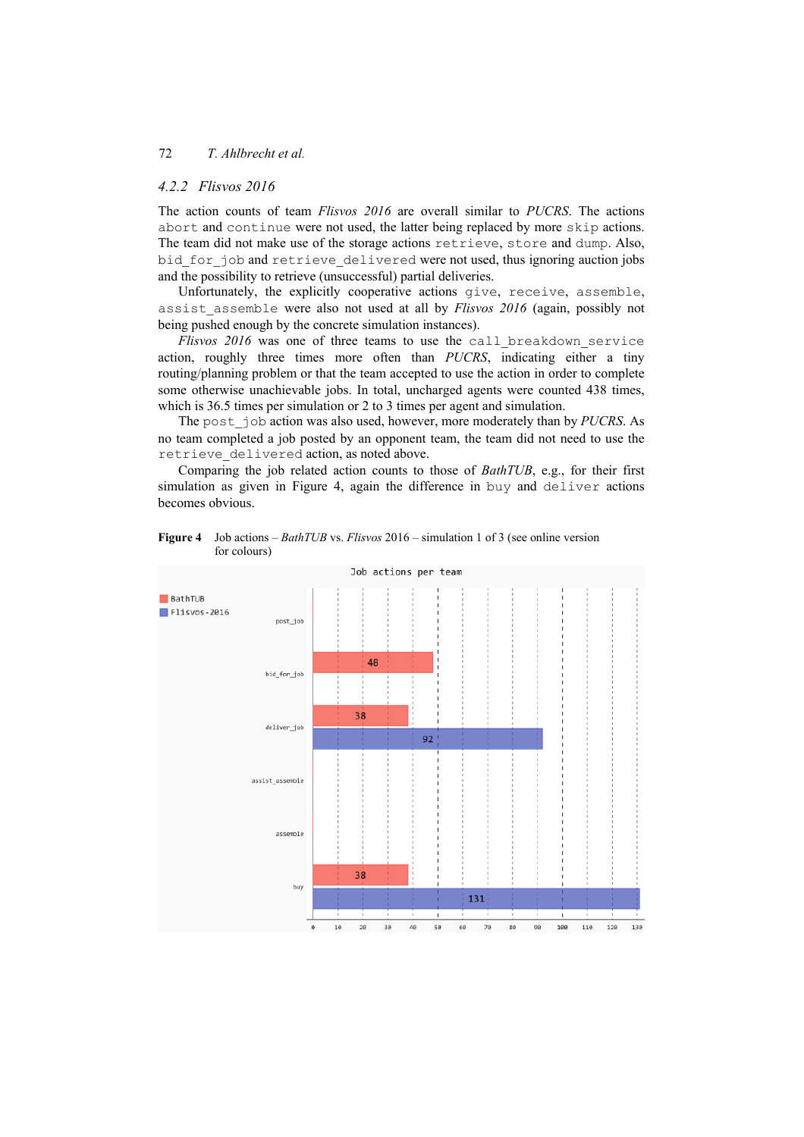### *4.2.2 Flisvos 2016*

The action counts of team *Flisvos 2016* are overall similar to *PUCRS*. The actions abort and continue were not used, the latter being replaced by more skip actions. The team did not make use of the storage actions retrieve, store and dump. Also, bid\_for\_job and retrieve\_delivered were not used, thus ignoring auction jobs and the possibility to retrieve (unsuccessful) partial deliveries.

Unfortunately, the explicitly cooperative actions give, receive, assemble, assist\_assemble were also not used at all by *Flisvos 2016* (again, possibly not being pushed enough by the concrete simulation instances).

*Flisvos 2016* was one of three teams to use the call\_breakdown\_service action, roughly three times more often than *PUCRS*, indicating either a tiny routing/planning problem or that the team accepted to use the action in order to complete some otherwise unachievable jobs. In total, uncharged agents were counted 438 times, which is 36.5 times per simulation or 2 to 3 times per agent and simulation.

The post\_job action was also used, however, more moderately than by *PUCRS*. As no team completed a job posted by an opponent team, the team did not need to use the retrieve delivered action, as noted above.

Comparing the job related action counts to those of *BathTUB*, e.g., for their first simulation as given in Figure 4, again the difference in buy and deliver actions becomes obvious.



**Figure 4** Job actions – *BathTUB* vs. *Flisvos* 2016 – simulation 1 of 3 (see online version for colours)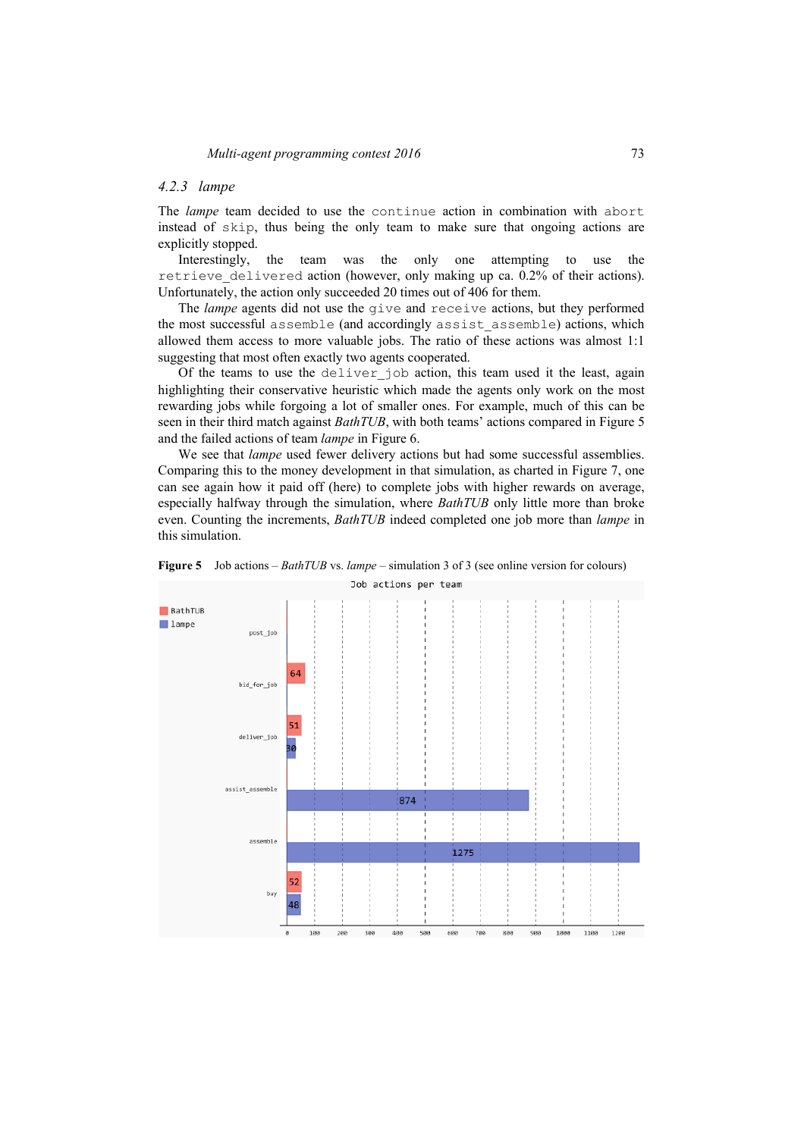#### *4.2.3 lampe*

The *lampe* team decided to use the continue action in combination with abort instead of skip, thus being the only team to make sure that ongoing actions are explicitly stopped.

Interestingly, the team was the only one attempting to use the retrieve delivered action (however, only making up ca. 0.2% of their actions). Unfortunately, the action only succeeded 20 times out of 406 for them.

The *lampe* agents did not use the give and receive actions, but they performed the most successful assemble (and accordingly assist\_assemble) actions, which allowed them access to more valuable jobs. The ratio of these actions was almost 1:1 suggesting that most often exactly two agents cooperated.

Of the teams to use the deliver\_job action, this team used it the least, again highlighting their conservative heuristic which made the agents only work on the most rewarding jobs while forgoing a lot of smaller ones. For example, much of this can be seen in their third match against *BathTUB*, with both teams' actions compared in Figure 5 and the failed actions of team *lampe* in Figure 6.

We see that *lampe* used fewer delivery actions but had some successful assemblies. Comparing this to the money development in that simulation, as charted in Figure 7, one can see again how it paid off (here) to complete jobs with higher rewards on average, especially halfway through the simulation, where *BathTUB* only little more than broke even. Counting the increments, *BathTUB* indeed completed one job more than *lampe* in this simulation.



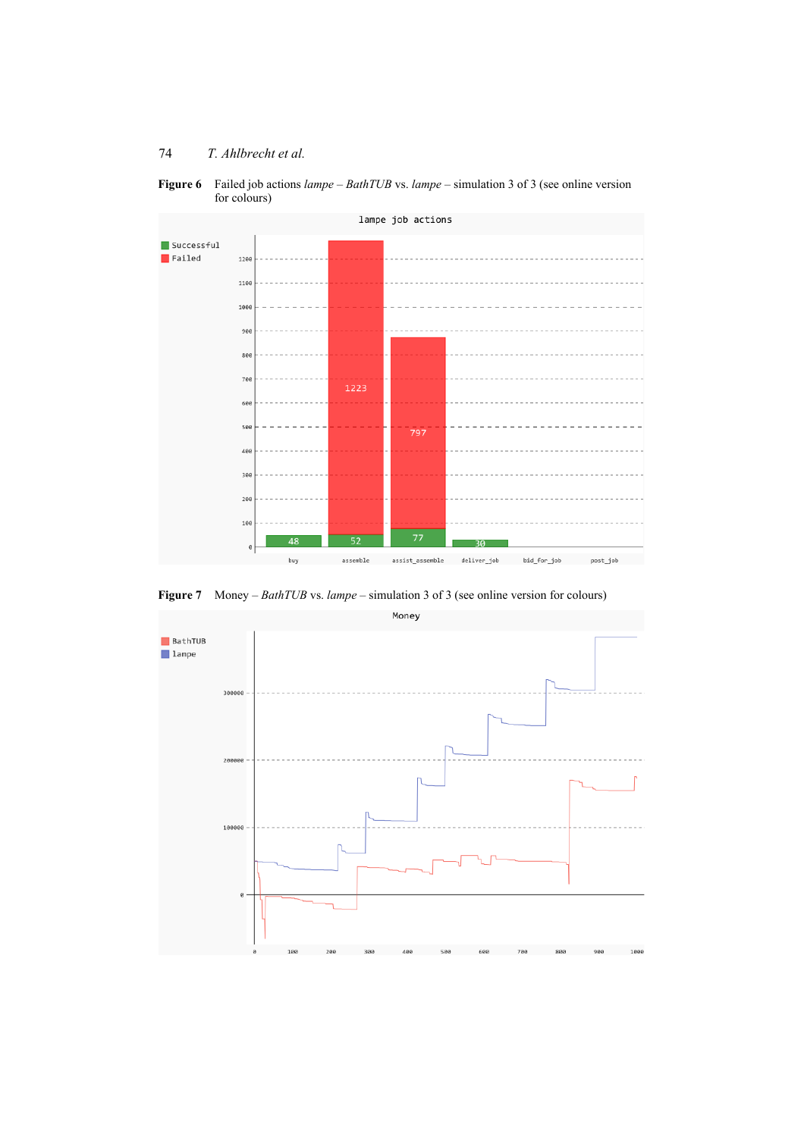

**Figure 6** Failed job actions *lampe* – *BathTUB* vs. *lampe* – simulation 3 of 3 (see online version for colours)

**Figure 7** Money – *BathTUB* vs. *lampe* – simulation 3 of 3 (see online version for colours)



Money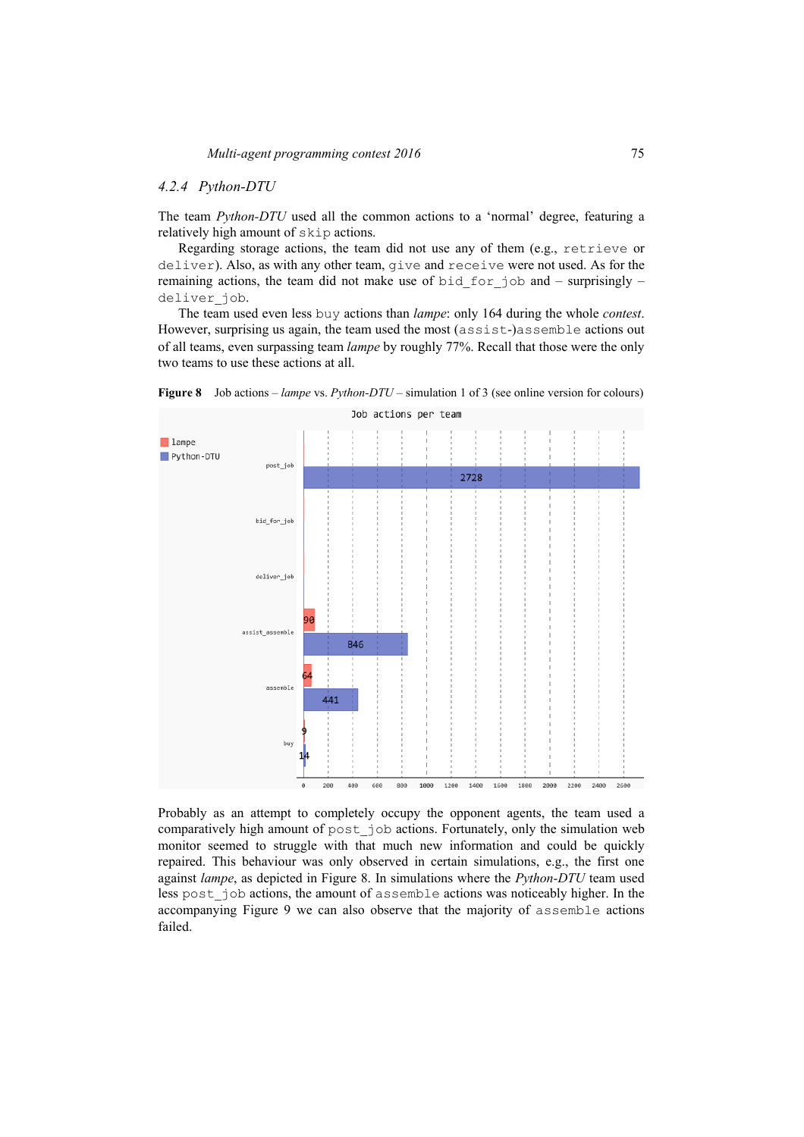#### *4.2.4 Python-DTU*

The team *Python-DTU* used all the common actions to a 'normal' degree, featuring a relatively high amount of skip actions.

Regarding storage actions, the team did not use any of them (e.g., retrieve or deliver). Also, as with any other team, give and receive were not used. As for the remaining actions, the team did not make use of bid for job and – surprisingly – deliver job.

The team used even less buy actions than *lampe*: only 164 during the whole *contest*. However, surprising us again, the team used the most (assist-)assemble actions out of all teams, even surpassing team *lampe* by roughly 77%. Recall that those were the only two teams to use these actions at all.

**Figure 8** Job actions – *lampe* vs. *Python-DTU* – simulation 1 of 3 (see online version for colours)



Probably as an attempt to completely occupy the opponent agents, the team used a comparatively high amount of  $\text{post}$  job actions. Fortunately, only the simulation web monitor seemed to struggle with that much new information and could be quickly repaired. This behaviour was only observed in certain simulations, e.g., the first one against *lampe*, as depicted in Figure 8. In simulations where the *Python-DTU* team used less post\_job actions, the amount of assemble actions was noticeably higher. In the accompanying Figure 9 we can also observe that the majority of assemble actions failed.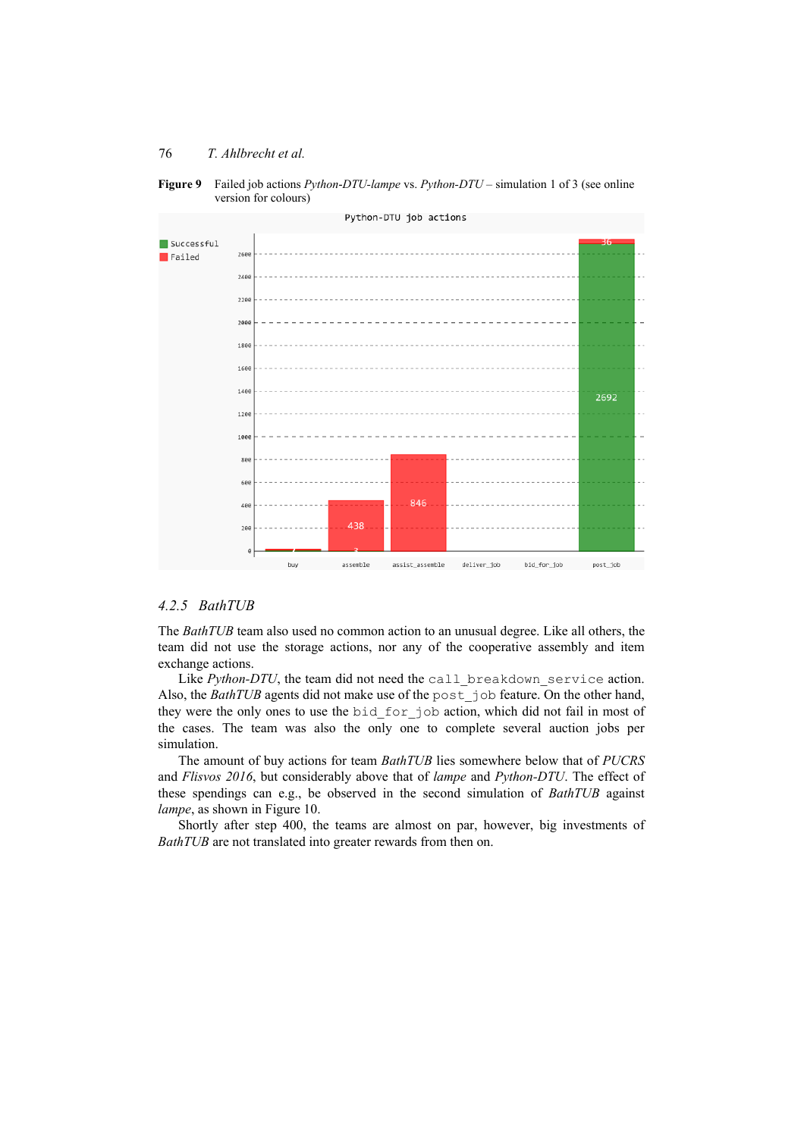

#### **Figure 9** Failed job actions *Python*-*DTU-lampe* vs. *Python-DTU* – simulation 1 of 3 (see online version for colours)

#### *4.2.5 BathTUB*

The *BathTUB* team also used no common action to an unusual degree. Like all others, the team did not use the storage actions, nor any of the cooperative assembly and item exchange actions.

Like *Python-DTU*, the team did not need the call\_breakdown\_service action. Also, the *BathTUB* agents did not make use of the post\_job feature. On the other hand, they were the only ones to use the bid\_for\_job action, which did not fail in most of the cases. The team was also the only one to complete several auction jobs per simulation.

The amount of buy actions for team *BathTUB* lies somewhere below that of *PUCRS*  and *Flisvos 2016*, but considerably above that of *lampe* and *Python-DTU*. The effect of these spendings can e.g., be observed in the second simulation of *BathTUB* against *lampe*, as shown in Figure 10.

Shortly after step 400, the teams are almost on par, however, big investments of *BathTUB* are not translated into greater rewards from then on.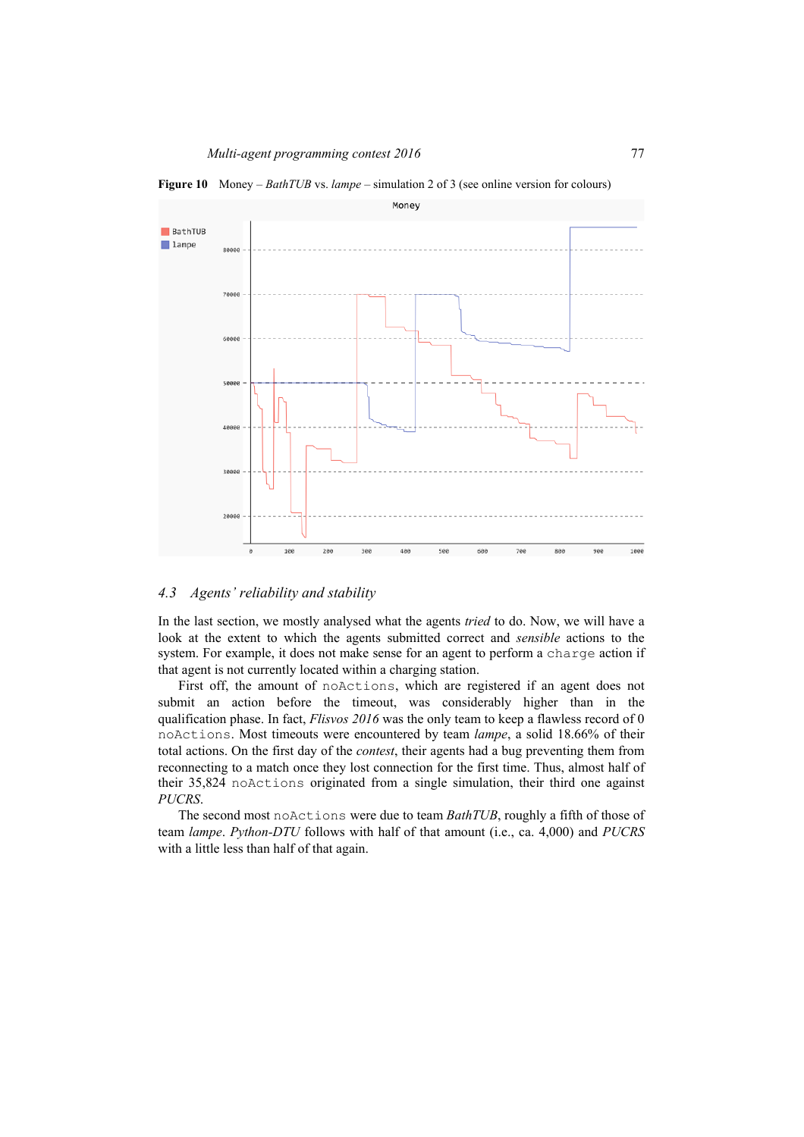

**Figure 10** Money – *BathTUB* vs. *lampe* – simulation 2 of 3 (see online version for colours)

### *4.3 Agents' reliability and stability*

In the last section, we mostly analysed what the agents *tried* to do. Now, we will have a look at the extent to which the agents submitted correct and *sensible* actions to the system. For example, it does not make sense for an agent to perform a charge action if that agent is not currently located within a charging station.

First off, the amount of noActions, which are registered if an agent does not submit an action before the timeout, was considerably higher than in the qualification phase. In fact, *Flisvos 2016* was the only team to keep a flawless record of 0 noActions. Most timeouts were encountered by team *lampe*, a solid 18.66% of their total actions. On the first day of the *contest*, their agents had a bug preventing them from reconnecting to a match once they lost connection for the first time. Thus, almost half of their 35,824 noActions originated from a single simulation, their third one against *PUCRS*.

The second most noActions were due to team *BathTUB*, roughly a fifth of those of team *lampe*. *Python-DTU* follows with half of that amount (i.e., ca. 4,000) and *PUCRS*  with a little less than half of that again.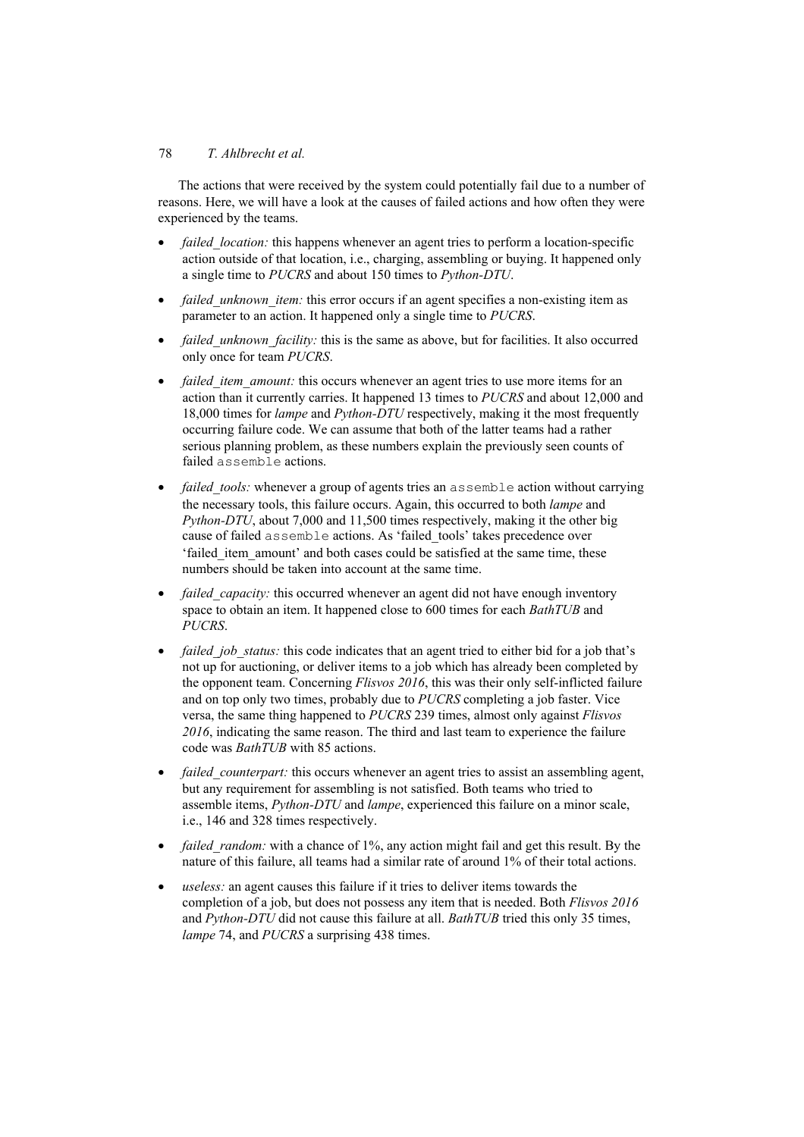The actions that were received by the system could potentially fail due to a number of reasons. Here, we will have a look at the causes of failed actions and how often they were experienced by the teams.

- *failed location:* this happens whenever an agent tries to perform a location-specific action outside of that location, i.e., charging, assembling or buying. It happened only a single time to *PUCRS* and about 150 times to *Python-DTU*.
- *failed unknown item:* this error occurs if an agent specifies a non-existing item as parameter to an action. It happened only a single time to *PUCRS*.
- *failed unknown facility:* this is the same as above, but for facilities. It also occurred only once for team *PUCRS*.
- *failed item amount:* this occurs whenever an agent tries to use more items for an action than it currently carries. It happened 13 times to *PUCRS* and about 12,000 and 18,000 times for *lampe* and *Python-DTU* respectively, making it the most frequently occurring failure code. We can assume that both of the latter teams had a rather serious planning problem, as these numbers explain the previously seen counts of failed assemble actions.
- failed tools: whenever a group of agents tries an assemble action without carrying the necessary tools, this failure occurs. Again, this occurred to both *lampe* and *Python-DTU*, about 7,000 and 11,500 times respectively, making it the other big cause of failed assemble actions. As 'failed\_tools' takes precedence over 'failed item amount' and both cases could be satisfied at the same time, these numbers should be taken into account at the same time.
- *failed capacity:* this occurred whenever an agent did not have enough inventory space to obtain an item. It happened close to 600 times for each *BathTUB* and *PUCRS*.
- *failed job status:* this code indicates that an agent tried to either bid for a job that's not up for auctioning, or deliver items to a job which has already been completed by the opponent team. Concerning *Flisvos 2016*, this was their only self-inflicted failure and on top only two times, probably due to *PUCRS* completing a job faster. Vice versa, the same thing happened to *PUCRS* 239 times, almost only against *Flisvos 2016*, indicating the same reason. The third and last team to experience the failure code was *BathTUB* with 85 actions.
- *failed counterpart:* this occurs whenever an agent tries to assist an assembling agent, but any requirement for assembling is not satisfied. Both teams who tried to assemble items, *Python-DTU* and *lampe*, experienced this failure on a minor scale, i.e., 146 and 328 times respectively.
- *failed random:* with a chance of 1%, any action might fail and get this result. By the nature of this failure, all teams had a similar rate of around 1% of their total actions.
- *useless:* an agent causes this failure if it tries to deliver items towards the completion of a job, but does not possess any item that is needed. Both *Flisvos 2016*  and *Python-DTU* did not cause this failure at all. *BathTUB* tried this only 35 times, *lampe* 74, and *PUCRS* a surprising 438 times.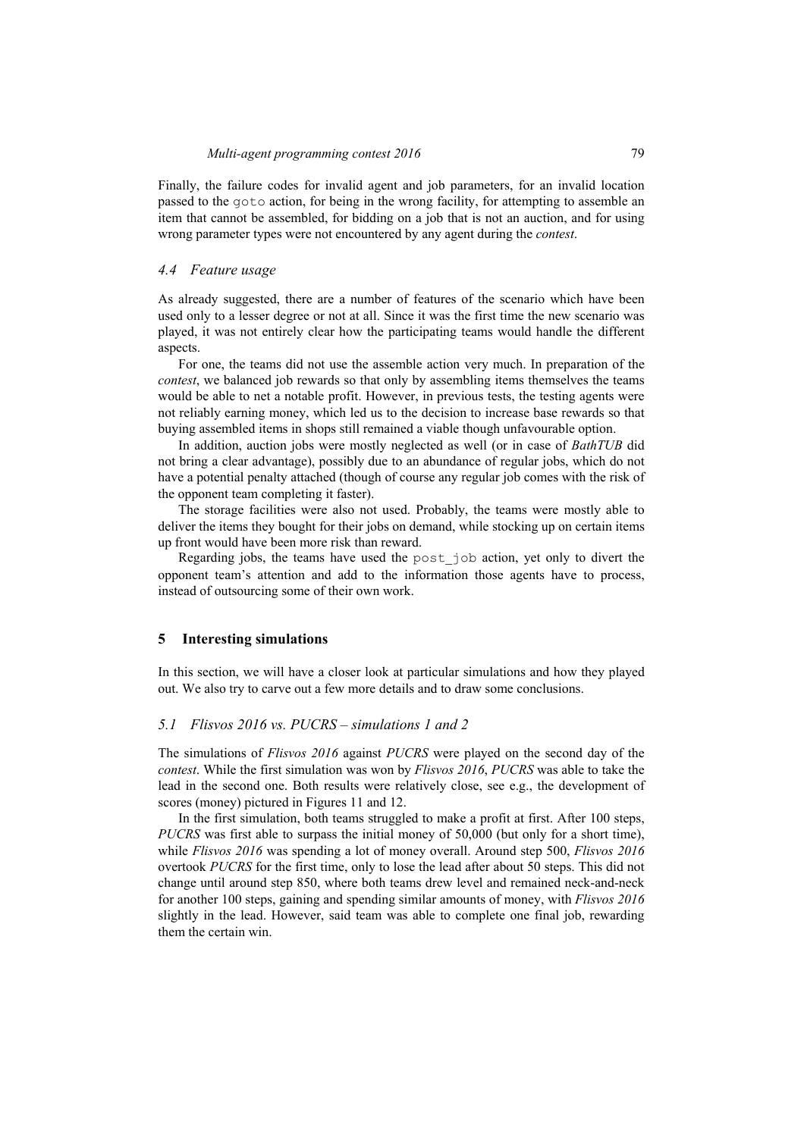Finally, the failure codes for invalid agent and job parameters, for an invalid location passed to the goto action, for being in the wrong facility, for attempting to assemble an item that cannot be assembled, for bidding on a job that is not an auction, and for using wrong parameter types were not encountered by any agent during the *contest*.

#### *4.4 Feature usage*

As already suggested, there are a number of features of the scenario which have been used only to a lesser degree or not at all. Since it was the first time the new scenario was played, it was not entirely clear how the participating teams would handle the different aspects.

For one, the teams did not use the assemble action very much. In preparation of the *contest*, we balanced job rewards so that only by assembling items themselves the teams would be able to net a notable profit. However, in previous tests, the testing agents were not reliably earning money, which led us to the decision to increase base rewards so that buying assembled items in shops still remained a viable though unfavourable option.

In addition, auction jobs were mostly neglected as well (or in case of *BathTUB* did not bring a clear advantage), possibly due to an abundance of regular jobs, which do not have a potential penalty attached (though of course any regular job comes with the risk of the opponent team completing it faster).

The storage facilities were also not used. Probably, the teams were mostly able to deliver the items they bought for their jobs on demand, while stocking up on certain items up front would have been more risk than reward.

Regarding jobs, the teams have used the post\_job action, yet only to divert the opponent team's attention and add to the information those agents have to process, instead of outsourcing some of their own work.

#### **5 Interesting simulations**

In this section, we will have a closer look at particular simulations and how they played out. We also try to carve out a few more details and to draw some conclusions.

#### *5.1 Flisvos 2016 vs. PUCRS – simulations 1 and 2*

The simulations of *Flisvos 2016* against *PUCRS* were played on the second day of the *contest*. While the first simulation was won by *Flisvos 2016*, *PUCRS* was able to take the lead in the second one. Both results were relatively close, see e.g., the development of scores (money) pictured in Figures 11 and 12.

In the first simulation, both teams struggled to make a profit at first. After 100 steps, *PUCRS* was first able to surpass the initial money of 50,000 (but only for a short time), while *Flisvos 2016* was spending a lot of money overall. Around step 500, *Flisvos 2016*  overtook *PUCRS* for the first time, only to lose the lead after about 50 steps. This did not change until around step 850, where both teams drew level and remained neck-and-neck for another 100 steps, gaining and spending similar amounts of money, with *Flisvos 2016*  slightly in the lead. However, said team was able to complete one final job, rewarding them the certain win.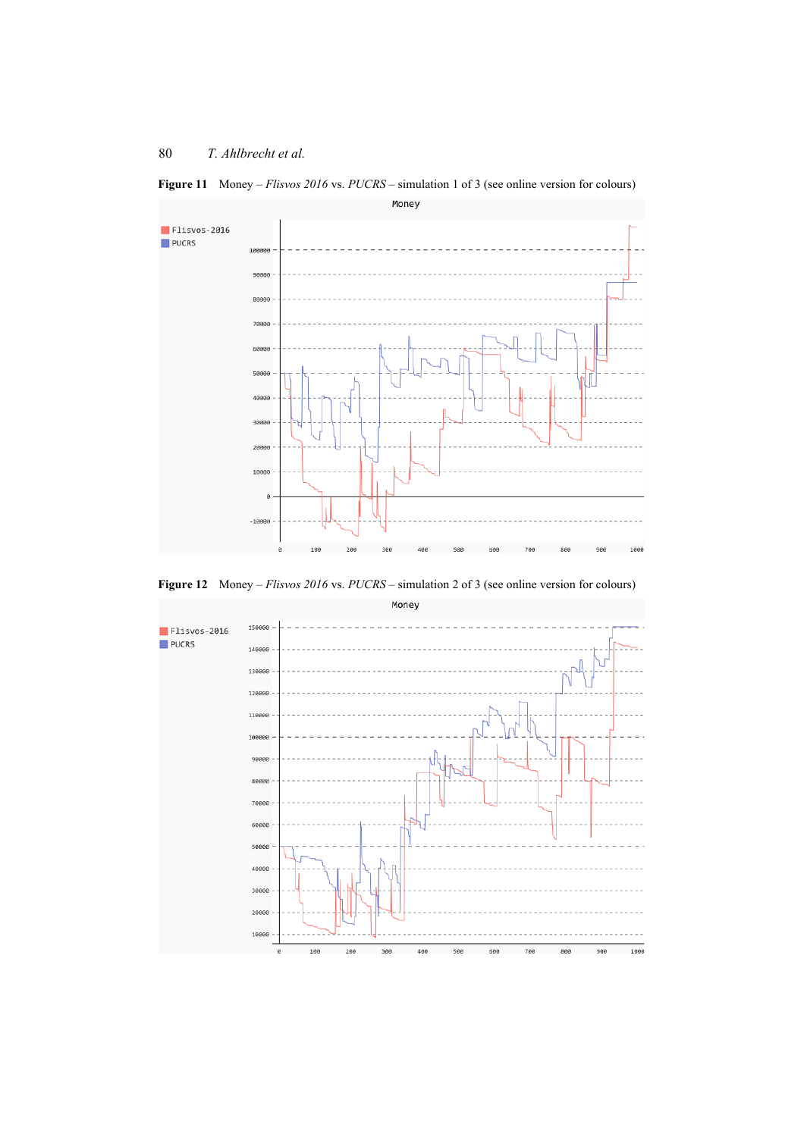

**Figure 11** Money – *Flisvos 2016* vs. *PUCRS* – simulation 1 of 3 (see online version for colours)

**Figure 12** Money – *Flisvos 2016* vs. *PUCRS* – simulation 2 of 3 (see online version for colours)

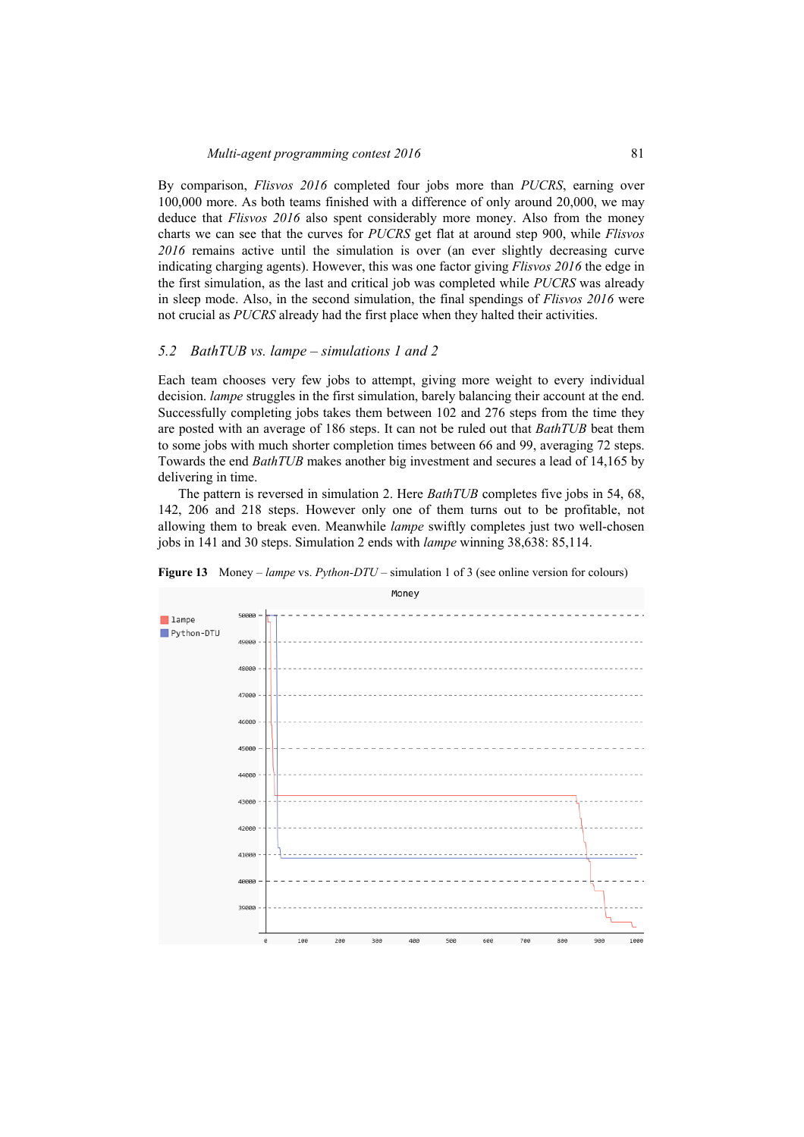By comparison, *Flisvos 2016* completed four jobs more than *PUCRS*, earning over 100,000 more. As both teams finished with a difference of only around 20,000, we may deduce that *Flisvos 2016* also spent considerably more money. Also from the money charts we can see that the curves for *PUCRS* get flat at around step 900, while *Flisvos 2016* remains active until the simulation is over (an ever slightly decreasing curve indicating charging agents). However, this was one factor giving *Flisvos 2016* the edge in the first simulation, as the last and critical job was completed while *PUCRS* was already in sleep mode. Also, in the second simulation, the final spendings of *Flisvos 2016* were not crucial as *PUCRS* already had the first place when they halted their activities.

#### *5.2 BathTUB vs. lampe – simulations 1 and 2*

Each team chooses very few jobs to attempt, giving more weight to every individual decision. *lampe* struggles in the first simulation, barely balancing their account at the end. Successfully completing jobs takes them between 102 and 276 steps from the time they are posted with an average of 186 steps. It can not be ruled out that *BathTUB* beat them to some jobs with much shorter completion times between 66 and 99, averaging 72 steps. Towards the end *BathTUB* makes another big investment and secures a lead of 14,165 by delivering in time.

The pattern is reversed in simulation 2. Here *BathTUB* completes five jobs in 54, 68, 142, 206 and 218 steps. However only one of them turns out to be profitable, not allowing them to break even. Meanwhile *lampe* swiftly completes just two well-chosen jobs in 141 and 30 steps. Simulation 2 ends with *lampe* winning 38,638: 85,114.



**Figure 13** Money – *lampe* vs. *Python-DTU* – simulation 1 of 3 (see online version for colours)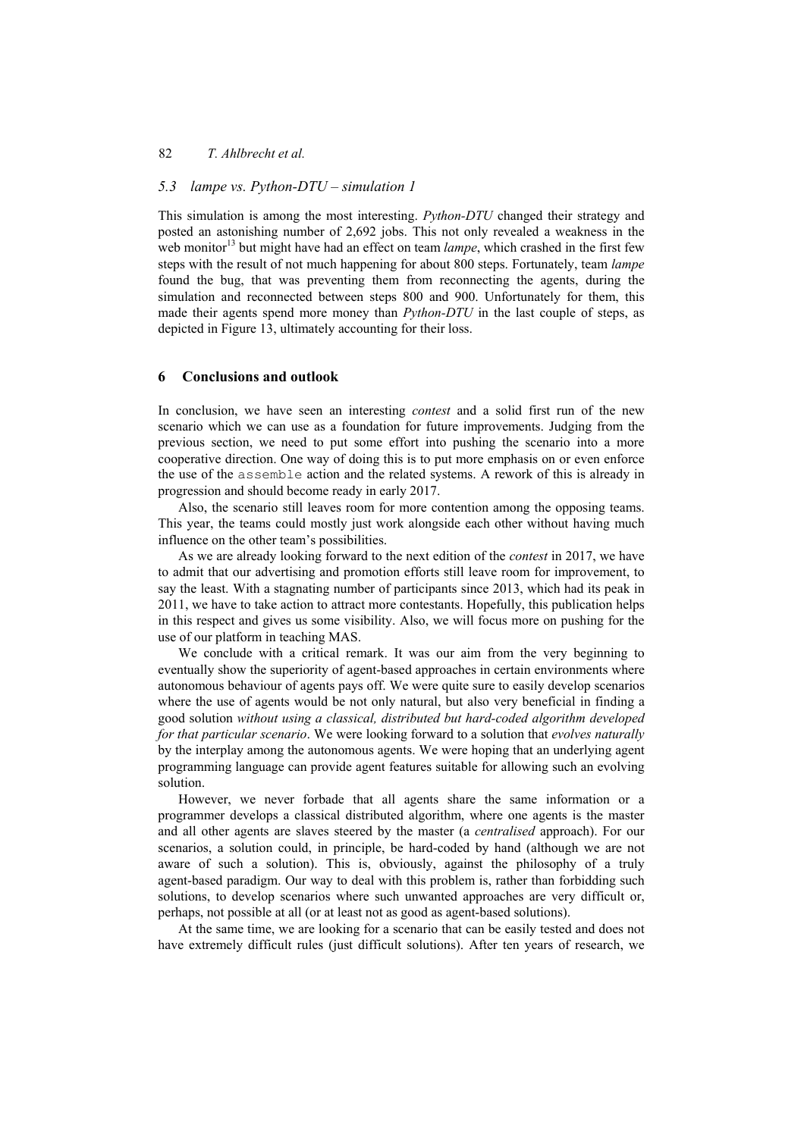#### *5.3 lampe vs. Python-DTU – simulation 1*

This simulation is among the most interesting. *Python-DTU* changed their strategy and posted an astonishing number of 2,692 jobs. This not only revealed a weakness in the web monitor<sup>13</sup> but might have had an effect on team *lampe*, which crashed in the first few steps with the result of not much happening for about 800 steps. Fortunately, team *lampe*  found the bug, that was preventing them from reconnecting the agents, during the simulation and reconnected between steps 800 and 900. Unfortunately for them, this made their agents spend more money than *Python-DTU* in the last couple of steps, as depicted in Figure 13, ultimately accounting for their loss.

#### **6 Conclusions and outlook**

In conclusion, we have seen an interesting *contest* and a solid first run of the new scenario which we can use as a foundation for future improvements. Judging from the previous section, we need to put some effort into pushing the scenario into a more cooperative direction. One way of doing this is to put more emphasis on or even enforce the use of the assemble action and the related systems. A rework of this is already in progression and should become ready in early 2017.

Also, the scenario still leaves room for more contention among the opposing teams. This year, the teams could mostly just work alongside each other without having much influence on the other team's possibilities.

As we are already looking forward to the next edition of the *contest* in 2017, we have to admit that our advertising and promotion efforts still leave room for improvement, to say the least. With a stagnating number of participants since 2013, which had its peak in 2011, we have to take action to attract more contestants. Hopefully, this publication helps in this respect and gives us some visibility. Also, we will focus more on pushing for the use of our platform in teaching MAS.

We conclude with a critical remark. It was our aim from the very beginning to eventually show the superiority of agent-based approaches in certain environments where autonomous behaviour of agents pays off. We were quite sure to easily develop scenarios where the use of agents would be not only natural, but also very beneficial in finding a good solution *without using a classical, distributed but hard-coded algorithm developed for that particular scenario*. We were looking forward to a solution that *evolves naturally*  by the interplay among the autonomous agents. We were hoping that an underlying agent programming language can provide agent features suitable for allowing such an evolving solution.

However, we never forbade that all agents share the same information or a programmer develops a classical distributed algorithm, where one agents is the master and all other agents are slaves steered by the master (a *centralised* approach). For our scenarios, a solution could, in principle, be hard-coded by hand (although we are not aware of such a solution). This is, obviously, against the philosophy of a truly agent-based paradigm. Our way to deal with this problem is, rather than forbidding such solutions, to develop scenarios where such unwanted approaches are very difficult or, perhaps, not possible at all (or at least not as good as agent-based solutions).

At the same time, we are looking for a scenario that can be easily tested and does not have extremely difficult rules (just difficult solutions). After ten years of research, we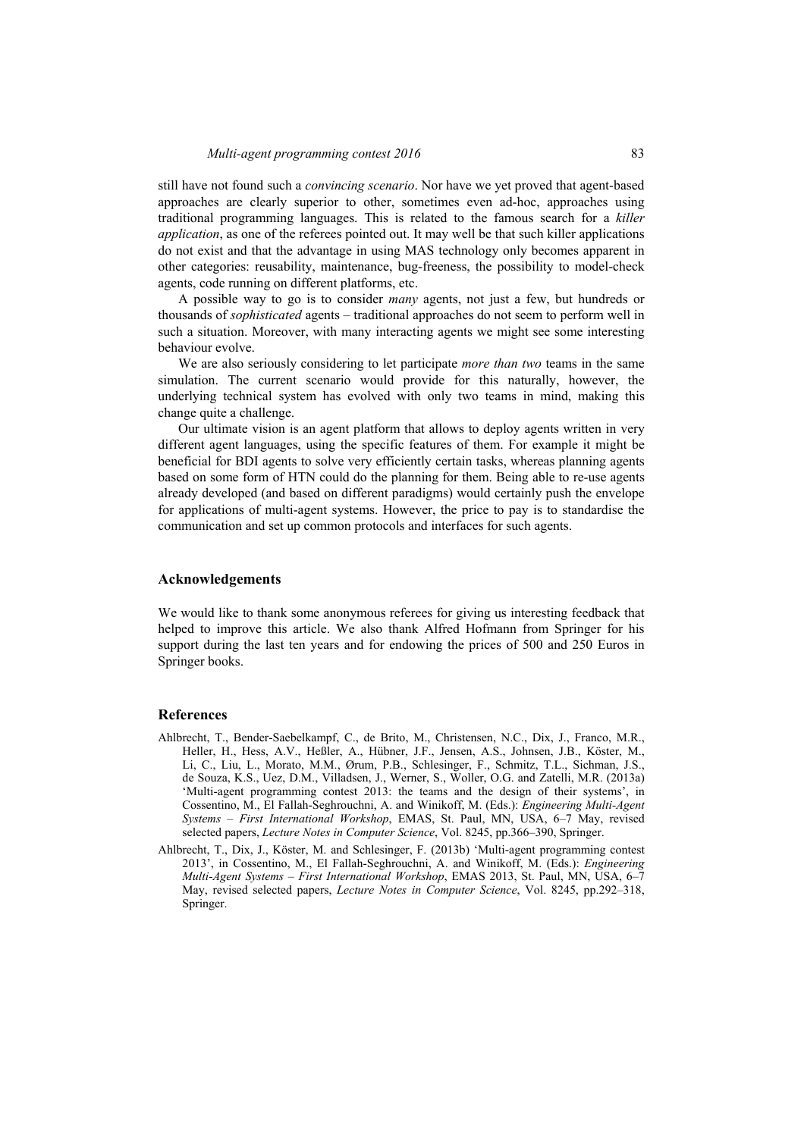still have not found such a *convincing scenario*. Nor have we yet proved that agent-based approaches are clearly superior to other, sometimes even ad-hoc, approaches using traditional programming languages. This is related to the famous search for a *killer application*, as one of the referees pointed out. It may well be that such killer applications do not exist and that the advantage in using MAS technology only becomes apparent in other categories: reusability, maintenance, bug-freeness, the possibility to model-check agents, code running on different platforms, etc.

A possible way to go is to consider *many* agents, not just a few, but hundreds or thousands of *sophisticated* agents – traditional approaches do not seem to perform well in such a situation. Moreover, with many interacting agents we might see some interesting behaviour evolve.

We are also seriously considering to let participate *more than two* teams in the same simulation. The current scenario would provide for this naturally, however, the underlying technical system has evolved with only two teams in mind, making this change quite a challenge.

Our ultimate vision is an agent platform that allows to deploy agents written in very different agent languages, using the specific features of them. For example it might be beneficial for BDI agents to solve very efficiently certain tasks, whereas planning agents based on some form of HTN could do the planning for them. Being able to re-use agents already developed (and based on different paradigms) would certainly push the envelope for applications of multi-agent systems. However, the price to pay is to standardise the communication and set up common protocols and interfaces for such agents.

#### **Acknowledgements**

We would like to thank some anonymous referees for giving us interesting feedback that helped to improve this article. We also thank Alfred Hofmann from Springer for his support during the last ten years and for endowing the prices of 500 and 250 Euros in Springer books.

#### **References**

- Ahlbrecht, T., Bender-Saebelkampf, C., de Brito, M., Christensen, N.C., Dix, J., Franco, M.R., Heller, H., Hess, A.V., Heßler, A., Hübner, J.F., Jensen, A.S., Johnsen, J.B., Köster, M., Li, C., Liu, L., Morato, M.M., Ørum, P.B., Schlesinger, F., Schmitz, T.L., Sichman, J.S., de Souza, K.S., Uez, D.M., Villadsen, J., Werner, S., Woller, O.G. and Zatelli, M.R. (2013a) 'Multi-agent programming contest 2013: the teams and the design of their systems', in Cossentino, M., El Fallah-Seghrouchni, A. and Winikoff, M. (Eds.): *Engineering Multi-Agent Systems – First International Workshop*, EMAS, St. Paul, MN, USA, 6–7 May, revised selected papers, *Lecture Notes in Computer Science*, Vol. 8245, pp.366–390, Springer.
- Ahlbrecht, T., Dix, J., Köster, M. and Schlesinger, F. (2013b) 'Multi-agent programming contest 2013', in Cossentino, M., El Fallah-Seghrouchni, A. and Winikoff, M. (Eds.): *Engineering Multi-Agent Systems – First International Workshop*, EMAS 2013, St. Paul, MN, USA, 6–7 May, revised selected papers, *Lecture Notes in Computer Science*, Vol. 8245, pp.292–318, Springer.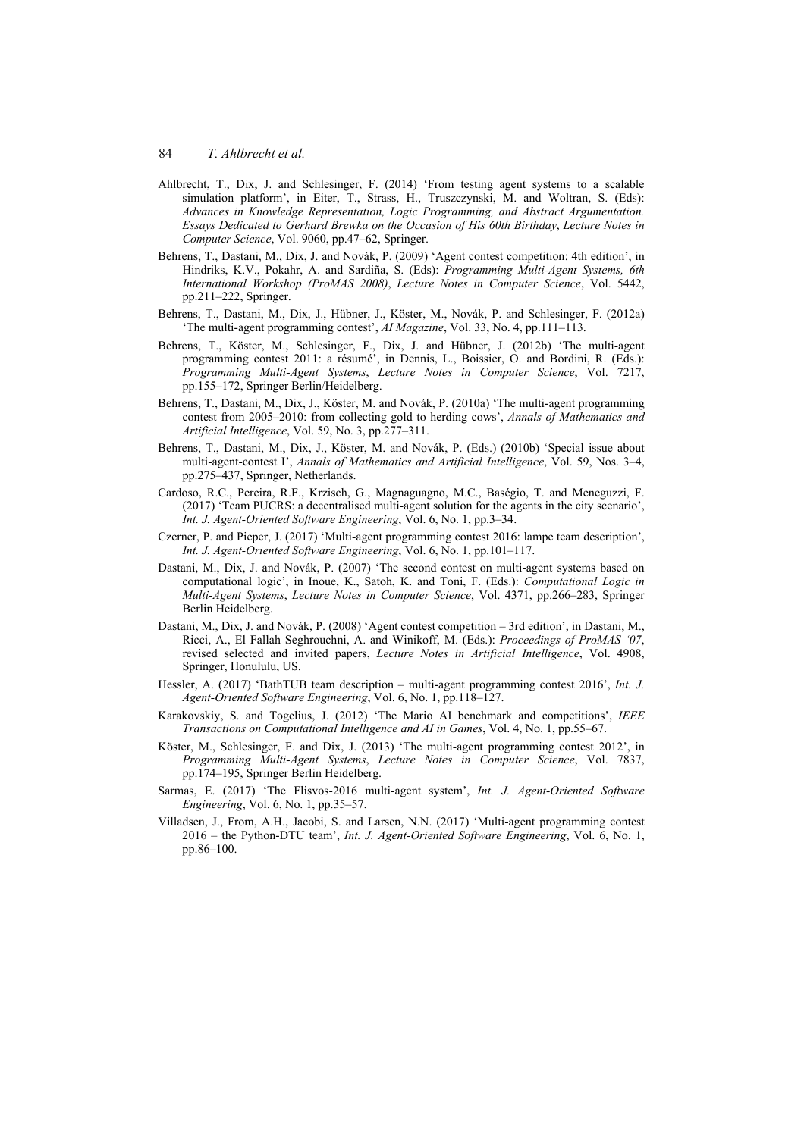- Ahlbrecht, T., Dix, J. and Schlesinger, F. (2014) 'From testing agent systems to a scalable simulation platform', in Eiter, T., Strass, H., Truszczynski, M. and Woltran, S. (Eds): *Advances in Knowledge Representation, Logic Programming, and Abstract Argumentation. Essays Dedicated to Gerhard Brewka on the Occasion of His 60th Birthday*, *Lecture Notes in Computer Science*, Vol. 9060, pp.47–62, Springer.
- Behrens, T., Dastani, M., Dix, J. and Novák, P. (2009) 'Agent contest competition: 4th edition', in Hindriks, K.V., Pokahr, A. and Sardiña, S. (Eds): *Programming Multi-Agent Systems, 6th International Workshop (ProMAS 2008)*, *Lecture Notes in Computer Science*, Vol. 5442, pp.211–222, Springer.
- Behrens, T., Dastani, M., Dix, J., Hübner, J., Köster, M., Novák, P. and Schlesinger, F. (2012a) 'The multi-agent programming contest', *AI Magazine*, Vol. 33, No. 4, pp.111–113.
- Behrens, T., Köster, M., Schlesinger, F., Dix, J. and Hübner, J. (2012b) 'The multi-agent programming contest 2011: a résumé', in Dennis, L., Boissier, O. and Bordini, R. (Eds.): *Programming Multi-Agent Systems*, *Lecture Notes in Computer Science*, Vol. 7217, pp.155–172, Springer Berlin/Heidelberg.
- Behrens, T., Dastani, M., Dix, J., Köster, M. and Novák, P. (2010a) 'The multi-agent programming contest from 2005–2010: from collecting gold to herding cows', *Annals of Mathematics and Artificial Intelligence*, Vol. 59, No. 3, pp.277–311.
- Behrens, T., Dastani, M., Dix, J., Köster, M. and Novák, P. (Eds.) (2010b) 'Special issue about multi-agent-contest I', *Annals of Mathematics and Artificial Intelligence*, Vol. 59, Nos. 3–4, pp.275–437, Springer, Netherlands.
- Cardoso, R.C., Pereira, R.F., Krzisch, G., Magnaguagno, M.C., Baségio, T. and Meneguzzi, F. (2017) 'Team PUCRS: a decentralised multi-agent solution for the agents in the city scenario', *Int. J. Agent-Oriented Software Engineering*, Vol. 6, No. 1, pp.3–34.
- Czerner, P. and Pieper, J. (2017) 'Multi-agent programming contest 2016: lampe team description', *Int. J. Agent-Oriented Software Engineering*, Vol. 6, No. 1, pp.101–117.
- Dastani, M., Dix, J. and Novák, P. (2007) 'The second contest on multi-agent systems based on computational logic', in Inoue, K., Satoh, K. and Toni, F. (Eds.): *Computational Logic in Multi-Agent Systems*, *Lecture Notes in Computer Science*, Vol. 4371, pp.266–283, Springer Berlin Heidelberg.
- Dastani, M., Dix, J. and Novák, P. (2008) 'Agent contest competition 3rd edition', in Dastani, M., Ricci, A., El Fallah Seghrouchni, A. and Winikoff, M. (Eds.): *Proceedings of ProMAS '07*, revised selected and invited papers, *Lecture Notes in Artificial Intelligence*, Vol. 4908, Springer, Honululu, US.
- Hessler, A. (2017) 'BathTUB team description multi-agent programming contest 2016', *Int. J. Agent-Oriented Software Engineering*, Vol. 6, No. 1, pp.118–127.
- Karakovskiy, S. and Togelius, J. (2012) 'The Mario AI benchmark and competitions', *IEEE Transactions on Computational Intelligence and AI in Games*, Vol. 4, No. 1, pp.55–67.
- Köster, M., Schlesinger, F. and Dix, J. (2013) 'The multi-agent programming contest 2012', in *Programming Multi-Agent Systems*, *Lecture Notes in Computer Science*, Vol. 7837, pp.174–195, Springer Berlin Heidelberg.
- Sarmas, E. (2017) 'The Flisvos-2016 multi-agent system', *Int. J. Agent-Oriented Software Engineering*, Vol. 6, No. 1, pp.35–57.
- Villadsen, J., From, A.H., Jacobi, S. and Larsen, N.N. (2017) 'Multi-agent programming contest 2016 – the Python-DTU team', *Int. J. Agent-Oriented Software Engineering*, Vol. 6, No. 1, pp.86–100.